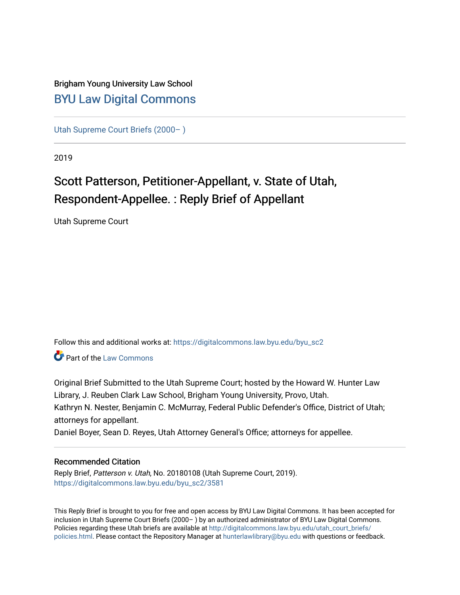## Brigham Young University Law School [BYU Law Digital Commons](https://digitalcommons.law.byu.edu/)

[Utah Supreme Court Briefs \(2000– \)](https://digitalcommons.law.byu.edu/byu_sc2)

2019

# Scott Patterson, Petitioner-Appellant, v. State of Utah, Respondent-Appellee. : Reply Brief of Appellant

Utah Supreme Court

Follow this and additional works at: [https://digitalcommons.law.byu.edu/byu\\_sc2](https://digitalcommons.law.byu.edu/byu_sc2?utm_source=digitalcommons.law.byu.edu%2Fbyu_sc2%2F3581&utm_medium=PDF&utm_campaign=PDFCoverPages) 

**C** Part of the [Law Commons](https://network.bepress.com/hgg/discipline/578?utm_source=digitalcommons.law.byu.edu%2Fbyu_sc2%2F3581&utm_medium=PDF&utm_campaign=PDFCoverPages)

Original Brief Submitted to the Utah Supreme Court; hosted by the Howard W. Hunter Law Library, J. Reuben Clark Law School, Brigham Young University, Provo, Utah. Kathryn N. Nester, Benjamin C. McMurray, Federal Public Defender's Office, District of Utah; attorneys for appellant.

Daniel Boyer, Sean D. Reyes, Utah Attorney General's Office; attorneys for appellee.

#### Recommended Citation

Reply Brief, Patterson v. Utah, No. 20180108 (Utah Supreme Court, 2019). [https://digitalcommons.law.byu.edu/byu\\_sc2/3581](https://digitalcommons.law.byu.edu/byu_sc2/3581?utm_source=digitalcommons.law.byu.edu%2Fbyu_sc2%2F3581&utm_medium=PDF&utm_campaign=PDFCoverPages)

This Reply Brief is brought to you for free and open access by BYU Law Digital Commons. It has been accepted for inclusion in Utah Supreme Court Briefs (2000– ) by an authorized administrator of BYU Law Digital Commons. Policies regarding these Utah briefs are available at [http://digitalcommons.law.byu.edu/utah\\_court\\_briefs/](http://digitalcommons.law.byu.edu/utah_court_briefs/policies.html) [policies.html](http://digitalcommons.law.byu.edu/utah_court_briefs/policies.html). Please contact the Repository Manager at hunterlawlibrary@byu.edu with questions or feedback.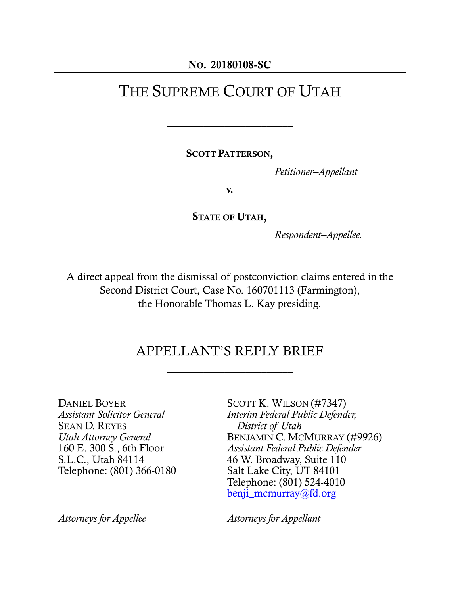#### NO. 20180108-SC

## THE SUPREME COURT OF UTAH

 $\overline{\phantom{a}}$  , where  $\overline{\phantom{a}}$  , where  $\overline{\phantom{a}}$  , where  $\overline{\phantom{a}}$ 

SCOTT PATTERSON,

*Petitioner–Appellant*

v.

STATE OF UTAH,

\_\_\_\_\_\_\_\_\_\_\_\_\_\_\_\_\_\_\_\_\_\_\_\_

*Respondent–Appellee.*

A direct appeal from the dismissal of postconviction claims entered in the Second District Court, Case No. 160701113 (Farmington), the Honorable Thomas L. Kay presiding.

## APPELLANT'S REPLY BRIEF

 $\overline{\phantom{a}}$  , where  $\overline{\phantom{a}}$  , where  $\overline{\phantom{a}}$  , where  $\overline{\phantom{a}}$ 

 $\overline{\phantom{a}}$  , where  $\overline{\phantom{a}}$  , where  $\overline{\phantom{a}}$  , where  $\overline{\phantom{a}}$ 

DANIEL BOYER *Assistant Solicitor General* SEAN D. REYES *Utah Attorney General* 160 E. 300 S., 6th Floor S.L.C., Utah 84114 Telephone: (801) 366-0180

SCOTT K. WILSON (#7347) *Interim Federal Public Defender, District of Utah* BENJAMIN C. MCMURRAY (#9926) *Assistant Federal Public Defender* 46 W. Broadway, Suite 110 Salt Lake City, UT 84101 Telephone: (801) 524-4010 [benji\\_mcmurray@fd.org](mailto:benji_mcmurray@fd.org)

*Attorneys for Appellee Attorneys for Appellant*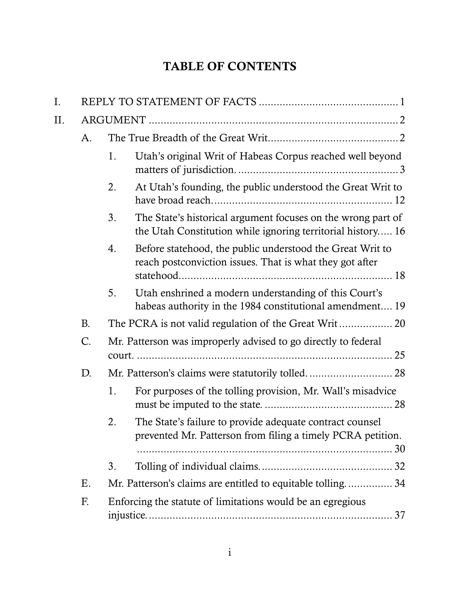## TABLE OF CONTENTS

| I. |           |    |                                                                                                                             |  |  |
|----|-----------|----|-----------------------------------------------------------------------------------------------------------------------------|--|--|
| Π. |           |    |                                                                                                                             |  |  |
|    | A.        |    |                                                                                                                             |  |  |
|    |           | 1. | Utah's original Writ of Habeas Corpus reached well beyond                                                                   |  |  |
|    |           | 2. | At Utah's founding, the public understood the Great Writ to                                                                 |  |  |
|    |           | 3. | The State's historical argument focuses on the wrong part of<br>the Utah Constitution while ignoring territorial history 16 |  |  |
|    |           | 4. | Before statehood, the public understood the Great Writ to<br>reach postconviction issues. That is what they got after       |  |  |
|    |           | 5. | Utah enshrined a modern understanding of this Court's<br>habeas authority in the 1984 constitutional amendment 19           |  |  |
|    | <b>B.</b> |    |                                                                                                                             |  |  |
|    | $C$ .     |    | Mr. Patterson was improperly advised to go directly to federal                                                              |  |  |
|    | D.        |    |                                                                                                                             |  |  |
|    |           | 1. | For purposes of the tolling provision, Mr. Wall's misadvice                                                                 |  |  |
|    |           | 2. | The State's failure to provide adequate contract counsel<br>prevented Mr. Patterson from filing a timely PCRA petition.     |  |  |
|    |           | 3. |                                                                                                                             |  |  |
|    | Ε.        |    | Mr. Patterson's claims are entitled to equitable tolling34                                                                  |  |  |
|    | F.        |    | Enforcing the statute of limitations would be an egregious                                                                  |  |  |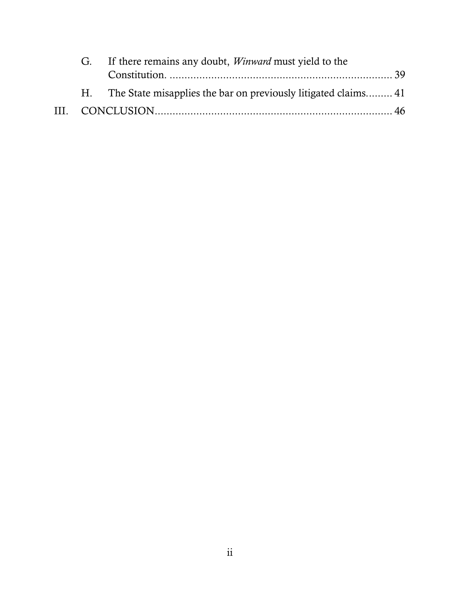|  | G. If there remains any doubt, <i>Winward</i> must yield to the  |  |
|--|------------------------------------------------------------------|--|
|  |                                                                  |  |
|  | H. The State misapplies the bar on previously litigated claims41 |  |
|  |                                                                  |  |
|  |                                                                  |  |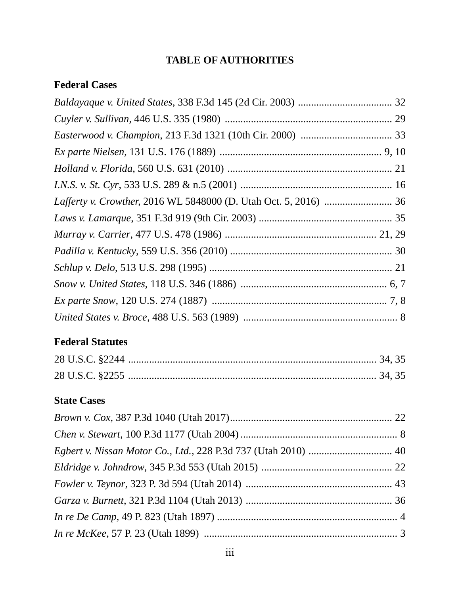## **TABLE OF AUTHORITIES**

## **Federal Cases**

## **Federal Statutes**

### **State Cases**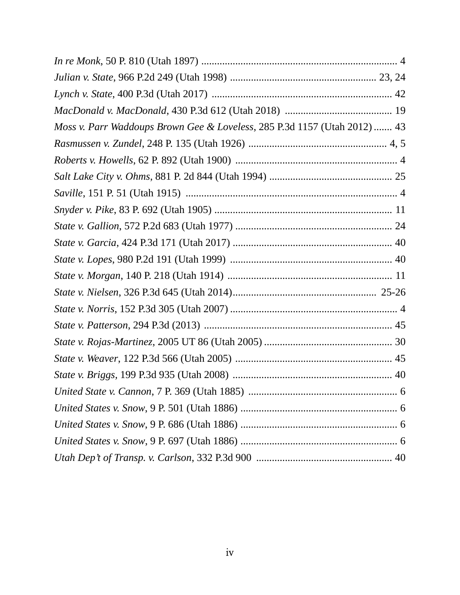| Moss v. Parr Waddoups Brown Gee & Loveless, 285 P.3d 1157 (Utah 2012)  43 |  |
|---------------------------------------------------------------------------|--|
|                                                                           |  |
|                                                                           |  |
|                                                                           |  |
|                                                                           |  |
|                                                                           |  |
|                                                                           |  |
|                                                                           |  |
|                                                                           |  |
|                                                                           |  |
|                                                                           |  |
|                                                                           |  |
|                                                                           |  |
|                                                                           |  |
|                                                                           |  |
|                                                                           |  |
|                                                                           |  |
|                                                                           |  |
|                                                                           |  |
|                                                                           |  |
|                                                                           |  |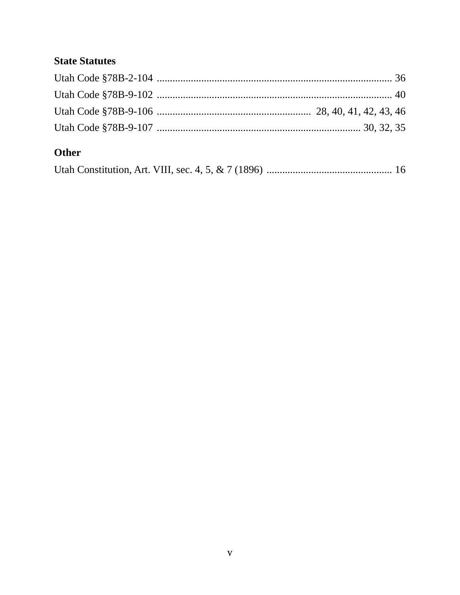## **State Statutes**

## Other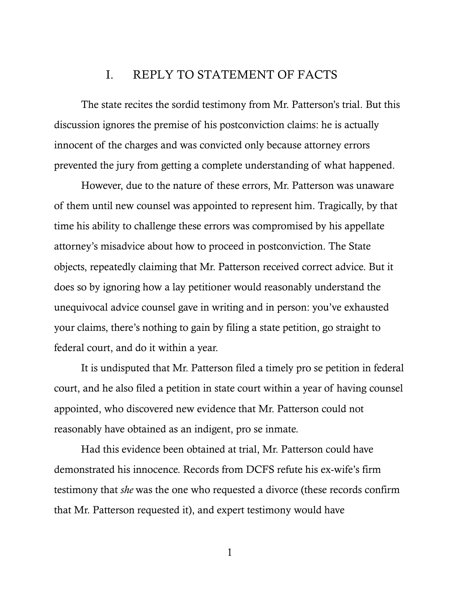### I. REPLY TO STATEMENT OF FACTS

The state recites the sordid testimony from Mr. Patterson's trial. But this discussion ignores the premise of his postconviction claims: he is actually innocent of the charges and was convicted only because attorney errors prevented the jury from getting a complete understanding of what happened.

However, due to the nature of these errors, Mr. Patterson was unaware of them until new counsel was appointed to represent him. Tragically, by that time his ability to challenge these errors was compromised by his appellate attorney's misadvice about how to proceed in postconviction. The State objects, repeatedly claiming that Mr. Patterson received correct advice. But it does so by ignoring how a lay petitioner would reasonably understand the unequivocal advice counsel gave in writing and in person: you've exhausted your claims, there's nothing to gain by filing a state petition, go straight to federal court, and do it within a year.

It is undisputed that Mr. Patterson filed a timely pro se petition in federal court, and he also filed a petition in state court within a year of having counsel appointed, who discovered new evidence that Mr. Patterson could not reasonably have obtained as an indigent, pro se inmate.

Had this evidence been obtained at trial, Mr. Patterson could have demonstrated his innocence. Records from DCFS refute his ex-wife's firm testimony that *she* was the one who requested a divorce (these records confirm that Mr. Patterson requested it), and expert testimony would have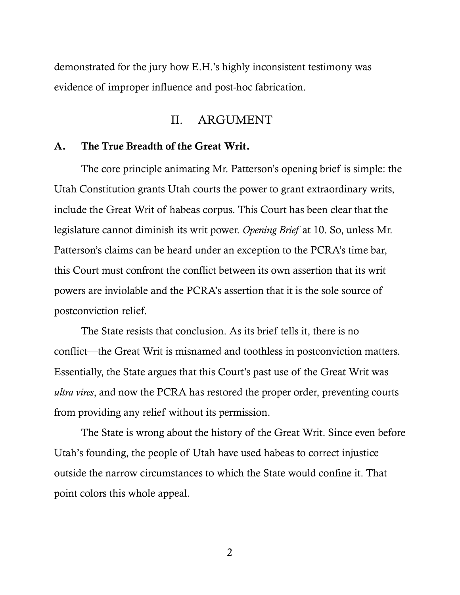demonstrated for the jury how E.H.'s highly inconsistent testimony was evidence of improper influence and post-hoc fabrication.

#### II. ARGUMENT

#### A. The True Breadth of the Great Writ.

The core principle animating Mr. Patterson's opening brief is simple: the Utah Constitution grants Utah courts the power to grant extraordinary writs, include the Great Writ of habeas corpus. This Court has been clear that the legislature cannot diminish its writ power. *Opening Brief* at 10. So, unless Mr. Patterson's claims can be heard under an exception to the PCRA's time bar, this Court must confront the conflict between its own assertion that its writ powers are inviolable and the PCRA's assertion that it is the sole source of postconviction relief.

The State resists that conclusion. As its brief tells it, there is no conflict—the Great Writ is misnamed and toothless in postconviction matters. Essentially, the State argues that this Court's past use of the Great Writ was *ultra vires*, and now the PCRA has restored the proper order, preventing courts from providing any relief without its permission.

The State is wrong about the history of the Great Writ. Since even before Utah's founding, the people of Utah have used habeas to correct injustice outside the narrow circumstances to which the State would confine it. That point colors this whole appeal.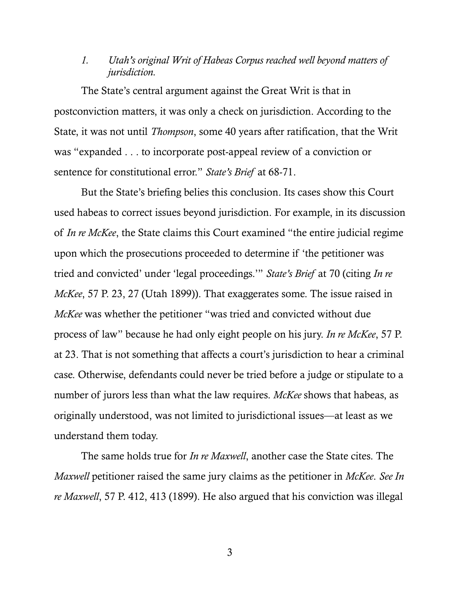#### *1. Utah's original Writ of Habeas Corpus reached well beyond matters of jurisdiction.*

The State's central argument against the Great Writ is that in postconviction matters, it was only a check on jurisdiction. According to the State, it was not until *Thompson*, some 40 years after ratification, that the Writ was "expanded . . . to incorporate post-appeal review of a conviction or sentence for constitutional error." *State's Brief* at 68-71.

<span id="page-10-0"></span>But the State's briefing belies this conclusion. Its cases show this Court used habeas to correct issues beyond jurisdiction. For example, in its discussion of *In re McKee*, the State claims this Court examined "the entire judicial regime upon which the prosecutions proceeded to determine if 'the petitioner was tried and convicted' under 'legal proceedings.'" *State's Brief* at 70 (citing *In re McKee*, 57 P. 23, 27 (Utah 1899)). That exaggerates some. The issue raised in *McKee* was whether the petitioner "was tried and convicted without due process of law" because he had only eight people on his jury. *In re McKee*, 57 P. at 23. That is not something that affects a court's jurisdiction to hear a criminal case. Otherwise, defendants could never be tried before a judge or stipulate to a number of jurors less than what the law requires. *McKee* shows that habeas, as originally understood, was not limited to jurisdictional issues—at least as we understand them today.

The same holds true for *In re Maxwell*, another case the State cites. The *Maxwell* petitioner raised the same jury claims as the petitioner in *McKee*. *See In re Maxwell*, 57 P. 412, 413 (1899). He also argued that his conviction was illegal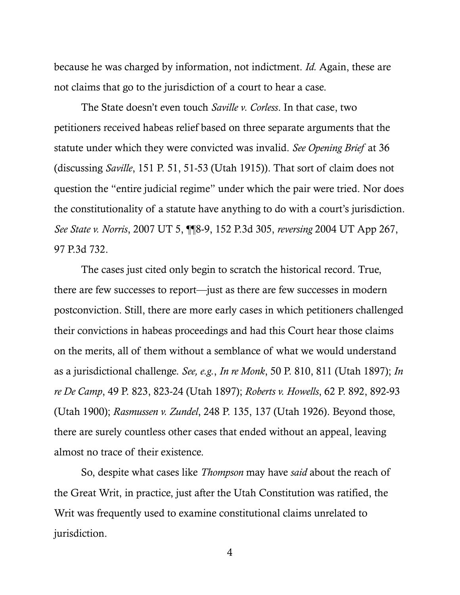because he was charged by information, not indictment. *Id.* Again, these are not claims that go to the jurisdiction of a court to hear a case.

<span id="page-11-4"></span>The State doesn't even touch *Saville v. Corless*. In that case, two petitioners received habeas relief based on three separate arguments that the statute under which they were convicted was invalid. *See Opening Brief* at 36 (discussing *Saville*, 151 P. 51, 51-53 (Utah 1915)). That sort of claim does not question the "entire judicial regime" under which the pair were tried. Nor does the constitutionality of a statute have anything to do with a court's jurisdiction. *See State v. Norris*, 2007 UT 5, ¶¶8-9, 152 P.3d 305, *reversing* 2004 UT App 267, 97 P.3d 732.

<span id="page-11-5"></span><span id="page-11-1"></span><span id="page-11-0"></span>The cases just cited only begin to scratch the historical record. True, there are few successes to report—just as there are few successes in modern postconviction. Still, there are more early cases in which petitioners challenged their convictions in habeas proceedings and had this Court hear those claims on the merits, all of them without a semblance of what we would understand as a jurisdictional challenge. *See, e.g.*, *In re Monk*, 50 P. 810, 811 (Utah 1897); *In re De Camp*, 49 P. 823, 823-24 (Utah 1897); *Roberts v. Howells*, 62 P. 892, 892-93 (Utah 1900); *Rasmussen v. Zundel*, 248 P. 135, 137 (Utah 1926). Beyond those, there are surely countless other cases that ended without an appeal, leaving almost no trace of their existence.

<span id="page-11-3"></span><span id="page-11-2"></span>So, despite what cases like *Thompson* may have *said* about the reach of the Great Writ, in practice, just after the Utah Constitution was ratified, the Writ was frequently used to examine constitutional claims unrelated to jurisdiction.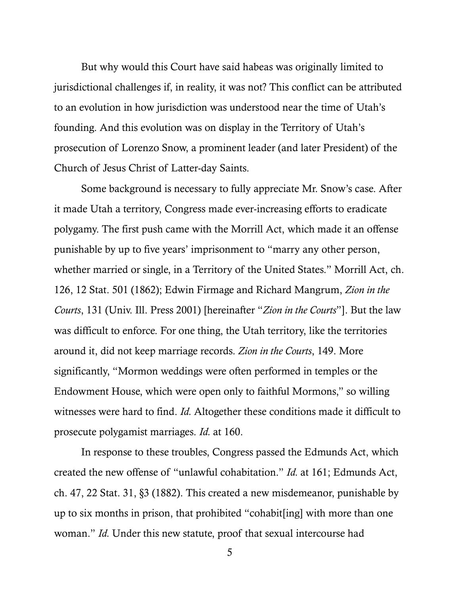But why would this Court have said habeas was originally limited to jurisdictional challenges if, in reality, it was not? This conflict can be attributed to an evolution in how jurisdiction was understood near the time of Utah's founding. And this evolution was on display in the Territory of Utah's prosecution of Lorenzo Snow, a prominent leader (and later President) of the Church of Jesus Christ of Latter-day Saints.

Some background is necessary to fully appreciate Mr. Snow's case. After it made Utah a territory, Congress made ever-increasing efforts to eradicate polygamy. The first push came with the Morrill Act, which made it an offense punishable by up to five years' imprisonment to "marry any other person, whether married or single, in a Territory of the United States." Morrill Act, ch. 126, 12 Stat. 501 (1862); Edwin Firmage and Richard Mangrum, *Zion in the Courts*, 131 (Univ. Ill. Press 2001) [hereinafter "*Zion in the Courts*"]. But the law was difficult to enforce. For one thing, the Utah territory, like the territories around it, did not keep marriage records. *Zion in the Courts*, 149. More significantly, "Mormon weddings were often performed in temples or the Endowment House, which were open only to faithful Mormons," so willing witnesses were hard to find. *Id.* Altogether these conditions made it difficult to prosecute polygamist marriages. *Id.* at 160.

<span id="page-12-0"></span>In response to these troubles, Congress passed the Edmunds Act, which created the new offense of "unlawful cohabitation." *Id.* at 161; Edmunds Act, ch. 47, 22 Stat. 31, §3 (1882). This created a new misdemeanor, punishable by up to six months in prison, that prohibited "cohabit[ing] with more than one woman." *Id.* Under this new statute, proof that sexual intercourse had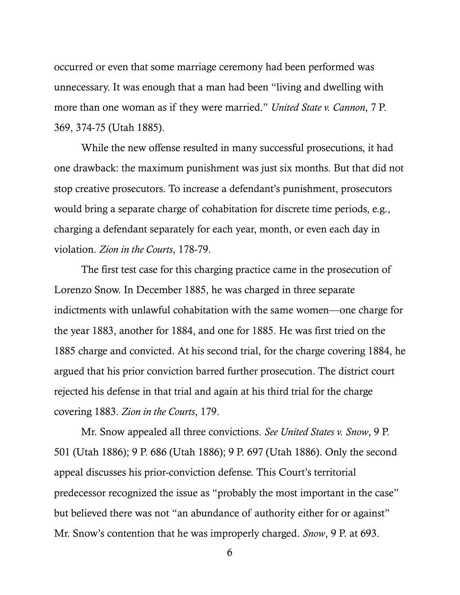<span id="page-13-0"></span>occurred or even that some marriage ceremony had been performed was unnecessary. It was enough that a man had been "living and dwelling with more than one woman as if they were married." *United State v. Cannon*, 7 P. 369, 374-75 (Utah 1885).

While the new offense resulted in many successful prosecutions, it had one drawback: the maximum punishment was just six months. But that did not stop creative prosecutors. To increase a defendant's punishment, prosecutors would bring a separate charge of cohabitation for discrete time periods, e.g., charging a defendant separately for each year, month, or even each day in violation. *Zion in the Courts*, 178-79.

The first test case for this charging practice came in the prosecution of Lorenzo Snow. In December 1885, he was charged in three separate indictments with unlawful cohabitation with the same women—one charge for the year 1883, another for 1884, and one for 1885. He was first tried on the 1885 charge and convicted. At his second trial, for the charge covering 1884, he argued that his prior conviction barred further prosecution. The district court rejected his defense in that trial and again at his third trial for the charge covering 1883. *Zion in the Courts*, 179.

<span id="page-13-1"></span>Mr. Snow appealed all three convictions. *See United States v. Snow*, 9 P. 501 (Utah 1886); 9 P. 686 (Utah 1886); 9 P. 697 (Utah 1886). Only the second appeal discusses his prior-conviction defense. This Court's territorial predecessor recognized the issue as "probably the most important in the case" but believed there was not "an abundance of authority either for or against" Mr. Snow's contention that he was improperly charged. *Snow*, 9 P. at 693.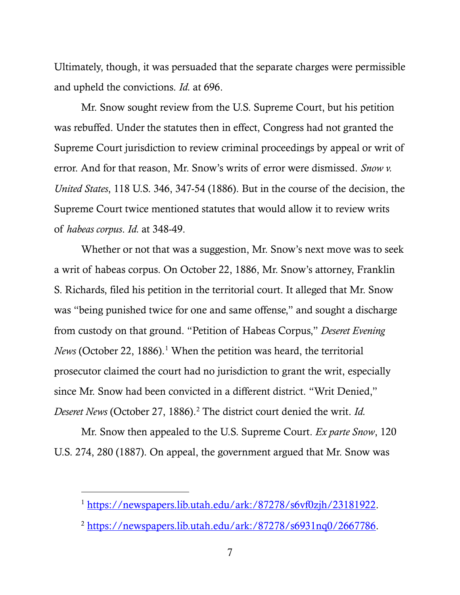Ultimately, though, it was persuaded that the separate charges were permissible and upheld the convictions. *Id.* at 696.

<span id="page-14-0"></span>Mr. Snow sought review from the U.S. Supreme Court, but his petition was rebuffed. Under the statutes then in effect, Congress had not granted the Supreme Court jurisdiction to review criminal proceedings by appeal or writ of error. And for that reason, Mr. Snow's writs of error were dismissed. *Snow v. United States*, 118 U.S. 346, 347-54 (1886). But in the course of the decision, the Supreme Court twice mentioned statutes that would allow it to review writs of *habeas corpus*. *Id.* at 348-49.

Whether or not that was a suggestion, Mr. Snow's next move was to seek a writ of habeas corpus. On October 22, 1886, Mr. Snow's attorney, Franklin S. Richards, filed his petition in the territorial court. It alleged that Mr. Snow was "being punished twice for one and same offense," and sought a discharge from custody on that ground. "Petition of Habeas Corpus," *Deseret Evening News* (October 22, [1](#page-14-2)886).<sup>1</sup> When the petition was heard, the territorial prosecutor claimed the court had no jurisdiction to grant the writ, especially since Mr. Snow had been convicted in a different district. "Writ Denied," *Deseret News* (October [2](#page-14-3)7, 1886).<sup>2</sup> The district court denied the writ. *Id.* 

Mr. Snow then appealed to the U.S. Supreme Court. *Ex parte Snow*, 120 U.S. 274, 280 (1887). On appeal, the government argued that Mr. Snow was

<span id="page-14-2"></span><span id="page-14-1"></span><sup>1</sup> [https://newspapers.lib.utah.edu/ark:/87278/s6vf0zjh/23181922.](https://newspapers.lib.utah.edu/ark:/87278/s6vf0zjh/23181922)

<span id="page-14-3"></span><sup>2</sup> [https://newspapers.lib.utah.edu/ark:/87278/s6931nq0/2667786.](https://newspapers.lib.utah.edu/ark:/87278/s6931nq0/2667786)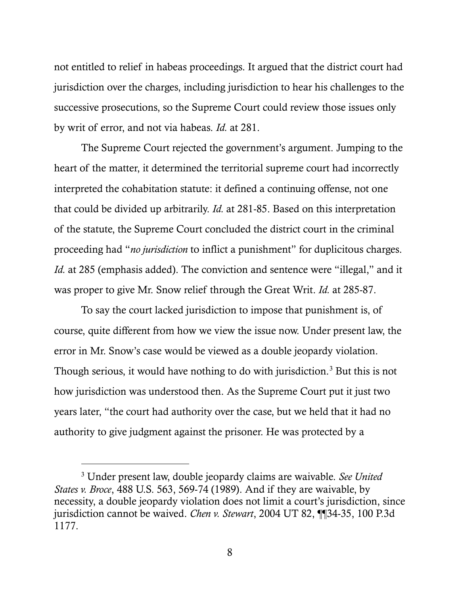not entitled to relief in habeas proceedings. It argued that the district court had jurisdiction over the charges, including jurisdiction to hear his challenges to the successive prosecutions, so the Supreme Court could review those issues only by writ of error, and not via habeas. *Id.* at 281.

<span id="page-15-0"></span>The Supreme Court rejected the government's argument. Jumping to the heart of the matter, it determined the territorial supreme court had incorrectly interpreted the cohabitation statute: it defined a continuing offense, not one that could be divided up arbitrarily. *Id.* at 281-85. Based on this interpretation of the statute, the Supreme Court concluded the district court in the criminal proceeding had "*no jurisdiction* to inflict a punishment" for duplicitous charges. *Id.* at 285 (emphasis added). The conviction and sentence were "illegal," and it was proper to give Mr. Snow relief through the Great Writ. *Id.* at 285-87.

To say the court lacked jurisdiction to impose that punishment is, of course, quite different from how we view the issue now. Under present law, the error in Mr. Snow's case would be viewed as a double jeopardy violation. Though serious, it would have nothing to do with jurisdiction.<sup>[3](#page-15-3)</sup> But this is not how jurisdiction was understood then. As the Supreme Court put it just two years later, "the court had authority over the case, but we held that it had no authority to give judgment against the prisoner. He was protected by a

<span id="page-15-3"></span><span id="page-15-2"></span><span id="page-15-1"></span><sup>3</sup> Under present law, double jeopardy claims are waivable. *See United States v. Broce*, 488 U.S. 563, 569-74 (1989). And if they are waivable, by necessity, a double jeopardy violation does not limit a court's jurisdiction, since jurisdiction cannot be waived. *Chen v. Stewart*, 2004 UT 82, ¶¶34-35, 100 P.3d 1177.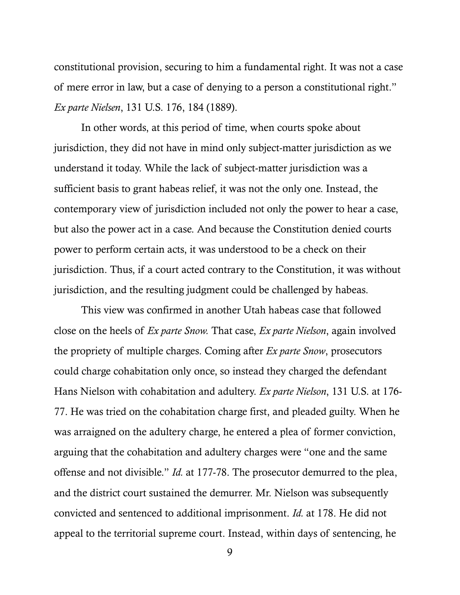constitutional provision, securing to him a fundamental right. It was not a case of mere error in law, but a case of denying to a person a constitutional right." *Ex parte Nielsen*, 131 U.S. 176, 184 (1889).

<span id="page-16-0"></span>In other words, at this period of time, when courts spoke about jurisdiction, they did not have in mind only subject-matter jurisdiction as we understand it today. While the lack of subject-matter jurisdiction was a sufficient basis to grant habeas relief, it was not the only one. Instead, the contemporary view of jurisdiction included not only the power to hear a case, but also the power act in a case. And because the Constitution denied courts power to perform certain acts, it was understood to be a check on their jurisdiction. Thus, if a court acted contrary to the Constitution, it was without jurisdiction, and the resulting judgment could be challenged by habeas.

This view was confirmed in another Utah habeas case that followed close on the heels of *Ex parte Snow.* That case, *Ex parte Nielson*, again involved the propriety of multiple charges. Coming after *Ex parte Snow*, prosecutors could charge cohabitation only once, so instead they charged the defendant Hans Nielson with cohabitation and adultery. *Ex parte Nielson*, 131 U.S. at 176- 77. He was tried on the cohabitation charge first, and pleaded guilty. When he was arraigned on the adultery charge, he entered a plea of former conviction, arguing that the cohabitation and adultery charges were "one and the same offense and not divisible." *Id.* at 177-78. The prosecutor demurred to the plea, and the district court sustained the demurrer. Mr. Nielson was subsequently convicted and sentenced to additional imprisonment. *Id.* at 178. He did not appeal to the territorial supreme court. Instead, within days of sentencing, he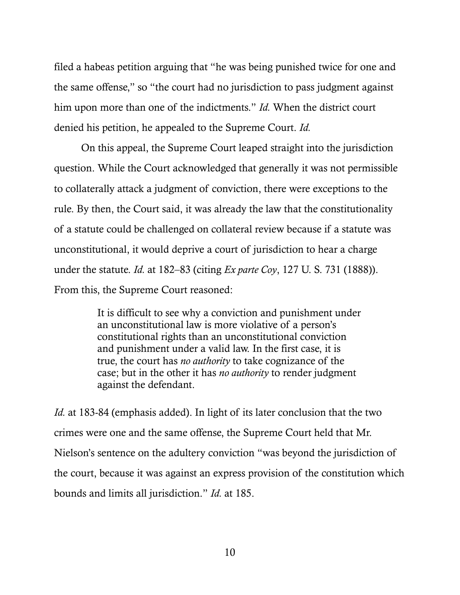<span id="page-17-0"></span>filed a habeas petition arguing that "he was being punished twice for one and the same offense," so "the court had no jurisdiction to pass judgment against him upon more than one of the indictments." *Id.* When the district court denied his petition, he appealed to the Supreme Court. *Id.*

On this appeal, the Supreme Court leaped straight into the jurisdiction question. While the Court acknowledged that generally it was not permissible to collaterally attack a judgment of conviction, there were exceptions to the rule. By then, the Court said, it was already the law that the constitutionality of a statute could be challenged on collateral review because if a statute was unconstitutional, it would deprive a court of jurisdiction to hear a charge under the statute. *Id.* at 182–83 (citing *Ex parte Coy*, 127 U. S. 731 (1888)). From this, the Supreme Court reasoned:

> It is difficult to see why a conviction and punishment under an unconstitutional law is more violative of a person's constitutional rights than an unconstitutional conviction and punishment under a valid law. In the first case, it is true, the court has *no authority* to take cognizance of the case; but in the other it has *no authority* to render judgment against the defendant.

*Id.* at 183-84 (emphasis added). In light of its later conclusion that the two crimes were one and the same offense, the Supreme Court held that Mr. Nielson's sentence on the adultery conviction "was beyond the jurisdiction of the court, because it was against an express provision of the constitution which bounds and limits all jurisdiction." *Id.* at 185.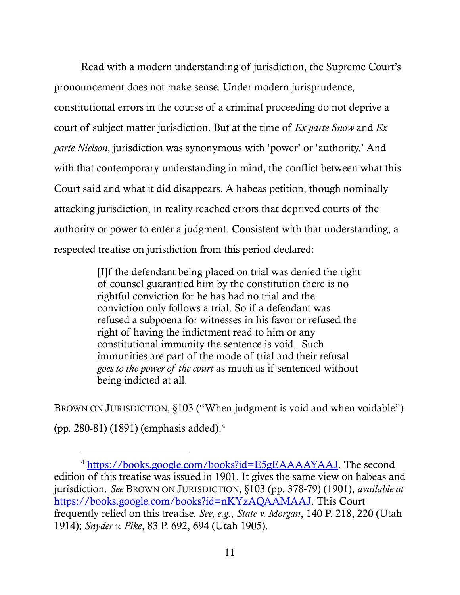Read with a modern understanding of jurisdiction, the Supreme Court's pronouncement does not make sense. Under modern jurisprudence, constitutional errors in the course of a criminal proceeding do not deprive a court of subject matter jurisdiction. But at the time of *Ex parte Snow* and *Ex parte Nielson*, jurisdiction was synonymous with 'power' or 'authority.' And with that contemporary understanding in mind, the conflict between what this Court said and what it did disappears. A habeas petition, though nominally attacking jurisdiction, in reality reached errors that deprived courts of the authority or power to enter a judgment. Consistent with that understanding, a respected treatise on jurisdiction from this period declared:

> [I]f the defendant being placed on trial was denied the right of counsel guarantied him by the constitution there is no rightful conviction for he has had no trial and the conviction only follows a trial. So if a defendant was refused a subpoena for witnesses in his favor or refused the right of having the indictment read to him or any constitutional immunity the sentence is void. Such immunities are part of the mode of trial and their refusal *goes to the power of the court* as much as if sentenced without being indicted at all.

BROWN ON JURISDICTION, §103 ("When judgment is void and when voidable") (pp. 280-81) (1891) (emphasis added)[.4](#page-18-2)

<span id="page-18-2"></span><span id="page-18-1"></span><span id="page-18-0"></span><sup>4</sup> [https://books.google.com/books?id=E5gEAAAAYAAJ.](https://books.google.com/books?id=E5gEAAAAYAAJ) The second edition of this treatise was issued in 1901. It gives the same view on habeas and jurisdiction. *See* BROWN ON JURISDICTION, §103 (pp. 378-79) (1901), *available at* [https://books.google.com/books?id=nKYzAQAAMAAJ.](https://books.google.com/books?id=nKYzAQAAMAAJ) This Court frequently relied on this treatise. *See, e.g.*, *State v. Morgan*, 140 P. 218, 220 (Utah 1914); *Snyder v. Pike*, 83 P. 692, 694 (Utah 1905).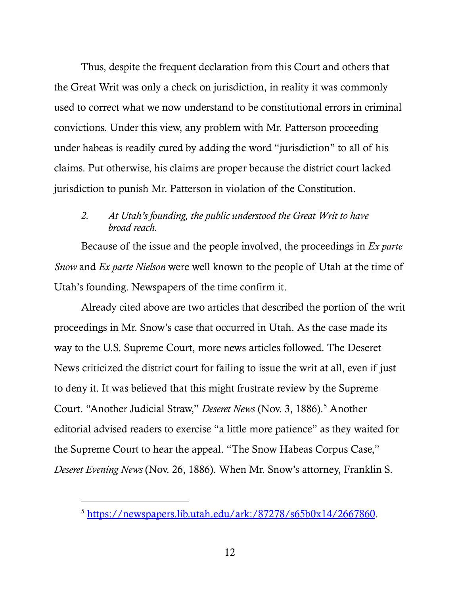Thus, despite the frequent declaration from this Court and others that the Great Writ was only a check on jurisdiction, in reality it was commonly used to correct what we now understand to be constitutional errors in criminal convictions. Under this view, any problem with Mr. Patterson proceeding under habeas is readily cured by adding the word "jurisdiction" to all of his claims. Put otherwise, his claims are proper because the district court lacked jurisdiction to punish Mr. Patterson in violation of the Constitution.

#### *2. At Utah's founding, the public understood the Great Writ to have broad reach.*

Because of the issue and the people involved, the proceedings in *Ex parte Snow* and *Ex parte Nielson* were well known to the people of Utah at the time of Utah's founding. Newspapers of the time confirm it.

Already cited above are two articles that described the portion of the writ proceedings in Mr. Snow's case that occurred in Utah. As the case made its way to the U.S. Supreme Court, more news articles followed. The Deseret News criticized the district court for failing to issue the writ at all, even if just to deny it. It was believed that this might frustrate review by the Supreme Court. "Another Judicial Straw," *Deseret News* (Nov. 3, 1886).<sup>[5](#page-19-0)</sup> Another editorial advised readers to exercise "a little more patience" as they waited for the Supreme Court to hear the appeal. "The Snow Habeas Corpus Case," *Deseret Evening News* (Nov. 26, 1886). When Mr. Snow's attorney, Franklin S.

<span id="page-19-0"></span><sup>5</sup> [https://newspapers.lib.utah.edu/ark:/87278/s65b0x14/2667860.](https://newspapers.lib.utah.edu/ark:/87278/s65b0x14/2667860)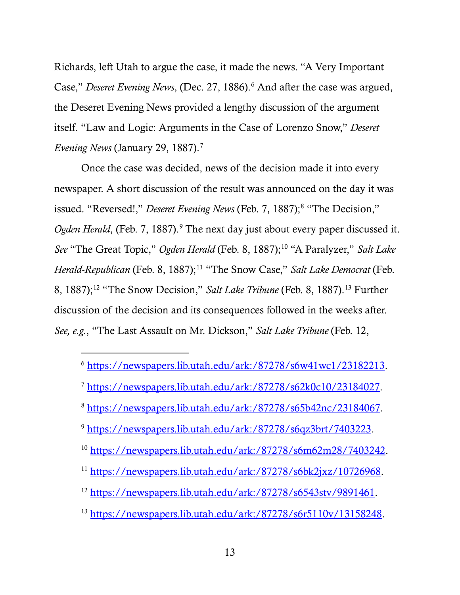Richards, left Utah to argue the case, it made the news. "A Very Important Case," *Deseret Evening News*, (Dec. 27, 188[6](#page-20-0)).<sup>6</sup> And after the case was argued, the Deseret Evening News provided a lengthy discussion of the argument itself. "Law and Logic: Arguments in the Case of Lorenzo Snow," *Deseret Evening News* (January 29, 188[7](#page-20-1)).<sup>7</sup>

Once the case was decided, news of the decision made it into every newspaper. A short discussion of the result was announced on the day it was issued. "Reversed!," *Deseret Evening News* (Feb. 7, 1887);<sup>8</sup> "The Decision," *Ogden Herald*, (Feb. 7, 1887).<sup>[9](#page-20-3)</sup> The next day just about every paper discussed it. *See* "The Great Topic," *Ogden Herald* (Feb. 8, 1887);<sup>10</sup> "A Paralyzer," *Salt Lake Herald-Republican* (Feb. 8, 1887);<sup>[11](#page-20-5)</sup> "The Snow Case," *Salt Lake Democrat* (Feb. 8, 1887);<sup>[12](#page-20-6)</sup> "The Snow Decision," *Salt Lake Tribune* (Feb. 8, 1887).<sup>[13](#page-20-7)</sup> Further discussion of the decision and its consequences followed in the weeks after. *See, e.g.*, "The Last Assault on Mr. Dickson," *Salt Lake Tribune* (Feb. 12,

<span id="page-20-0"></span><sup>6</sup> [https://newspapers.lib.utah.edu/ark:/87278/s6w41wc1/23182213.](https://newspapers.lib.utah.edu/ark:/87278/s6w41wc1/23182213)

- <span id="page-20-1"></span><sup>7</sup> [https://newspapers.lib.utah.edu/ark:/87278/s62k0c10/23184027.](https://newspapers.lib.utah.edu/ark:/87278/s62k0c10/23184027)
- <span id="page-20-2"></span><sup>8</sup> [https://newspapers.lib.utah.edu/ark:/87278/s65b42nc/23184067.](https://newspapers.lib.utah.edu/ark:/87278/s65b42nc/23184067)
- <span id="page-20-3"></span><sup>9</sup> [https://newspapers.lib.utah.edu/ark:/87278/s6qz3brt/7403223.](https://newspapers.lib.utah.edu/ark:/87278/s6qz3brt/7403223)
- <span id="page-20-4"></span><sup>10</sup> [https://newspapers.lib.utah.edu/ark:/87278/s6m62m28/7403242.](https://newspapers.lib.utah.edu/ark:/87278/s6m62m28/7403242)
- <span id="page-20-5"></span><sup>11</sup> [https://newspapers.lib.utah.edu/ark:/87278/s6bk2jxz/10726968.](https://newspapers.lib.utah.edu/ark:/87278/s6bk2jxz/10726968)
- <span id="page-20-6"></span><sup>12</sup> [https://newspapers.lib.utah.edu/ark:/87278/s6543stv/9891461.](https://newspapers.lib.utah.edu/ark:/87278/s6543stv/9891461)
- <span id="page-20-7"></span><sup>13</sup> [https://newspapers.lib.utah.edu/ark:/87278/s6r5110v/13158248.](https://newspapers.lib.utah.edu/ark:/87278/s6r5110v/13158248)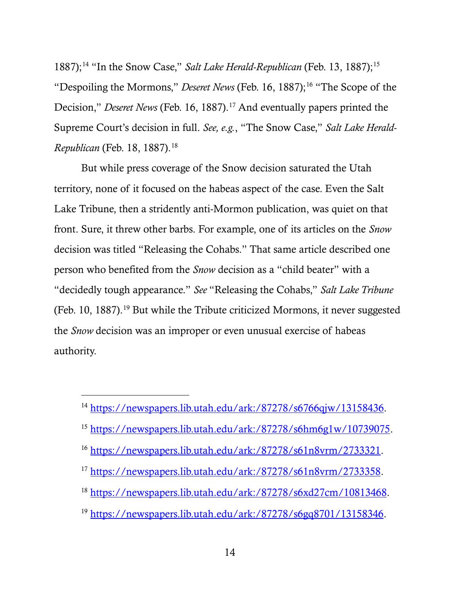1887);<sup>[14](#page-21-0)</sup> "In the Snow Case," *Salt Lake Herald-Republican* (Feb. 13, 1887);<sup>[15](#page-21-1)</sup> "Despoiling the Mormons," *Deseret News* (Feb. [16](#page-21-2), 1887);<sup>16</sup> "The Scope of the Decision," *Deseret News* (Feb. 16, 1887).<sup>[17](#page-21-3)</sup> And eventually papers printed the Supreme Court's decision in full. *See, e.g.*, "The Snow Case," *Salt Lake Herald-Republican* (Feb. [18](#page-21-4), 1887).<sup>18</sup>

But while press coverage of the Snow decision saturated the Utah territory, none of it focused on the habeas aspect of the case. Even the Salt Lake Tribune, then a stridently anti-Mormon publication, was quiet on that front. Sure, it threw other barbs. For example, one of its articles on the *Snow* decision was titled "Releasing the Cohabs." That same article described one person who benefited from the *Snow* decision as a "child beater" with a "decidedly tough appearance." *See* "Releasing the Cohabs," *Salt Lake Tribune* (Feb. 10, 1887).<sup>[19](#page-21-5)</sup> But while the Tribute criticized Mormons, it never suggested the *Snow* decision was an improper or even unusual exercise of habeas authority.

- <span id="page-21-1"></span><sup>15</sup> [https://newspapers.lib.utah.edu/ark:/87278/s6hm6g1w/10739075.](https://newspapers.lib.utah.edu/ark:/87278/s6hm6g1w/10739075)
- <span id="page-21-2"></span><sup>16</sup> [https://newspapers.lib.utah.edu/ark:/87278/s61n8vrm/2733321.](https://newspapers.lib.utah.edu/ark:/87278/s61n8vrm/2733321)
- <span id="page-21-3"></span><sup>17</sup> [https://newspapers.lib.utah.edu/ark:/87278/s61n8vrm/2733358.](https://newspapers.lib.utah.edu/ark:/87278/s61n8vrm/2733358)
- <span id="page-21-4"></span><sup>18</sup> [https://newspapers.lib.utah.edu/ark:/87278/s6xd27cm/10813468.](https://newspapers.lib.utah.edu/ark:/87278/s6xd27cm/10813468)
- <span id="page-21-5"></span><sup>19</sup> [https://newspapers.lib.utah.edu/ark:/87278/s6gq8701/13158346.](https://newspapers.lib.utah.edu/ark:/87278/s6gq8701/13158346)

<span id="page-21-0"></span><sup>14</sup> [https://newspapers.lib.utah.edu/ark:/87278/s6766qjw/13158436.](https://newspapers.lib.utah.edu/ark:/87278/s6766qjw/13158436)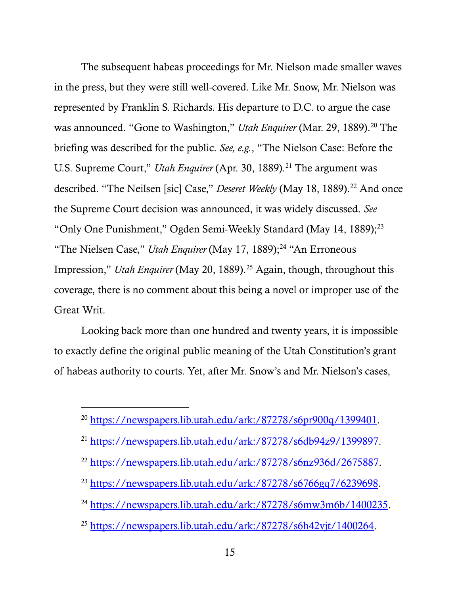The subsequent habeas proceedings for Mr. Nielson made smaller waves in the press, but they were still well-covered. Like Mr. Snow, Mr. Nielson was represented by Franklin S. Richards. His departure to D.C. to argue the case was announced. "Gone to Washington," *Utah Enquirer* (Mar. 29, 1889).<sup>[20](#page-22-0)</sup> The briefing was described for the public. *See, e.g.*, "The Nielson Case: Before the U.S. Supreme Court," *Utah Enquirer* (Apr. 30, 1889).<sup>[21](#page-22-1)</sup> The argument was described. "The Neilsen [sic] Case," *Deseret Weekly* (May 18, 1889).<sup>22</sup> And once the Supreme Court decision was announced, it was widely discussed. *See*  "Only One Punishment," Ogden Semi-Weekly Standard (May 14, 1889);<sup>[23](#page-22-3)</sup> "The Nielsen Case," *Utah Enquirer* (May 17, 1889);<sup>[24](#page-22-4)</sup> "An Erroneous" Impression," *Utah Enquirer* (May 20, 1889).<sup>[25](#page-22-5)</sup> Again, though, throughout this coverage, there is no comment about this being a novel or improper use of the Great Writ.

Looking back more than one hundred and twenty years, it is impossible to exactly define the original public meaning of the Utah Constitution's grant of habeas authority to courts. Yet, after Mr. Snow's and Mr. Nielson's cases,

l

- <span id="page-22-3"></span><sup>23</sup> [https://newspapers.lib.utah.edu/ark:/87278/s6766gq7/6239698.](https://newspapers.lib.utah.edu/ark:/87278/s6766gq7/6239698)
- <span id="page-22-4"></span><sup>24</sup> [https://newspapers.lib.utah.edu/ark:/87278/s6mw3m6b/1400235.](https://newspapers.lib.utah.edu/ark:/87278/s6mw3m6b/1400235)
- <span id="page-22-5"></span><sup>25</sup> [https://newspapers.lib.utah.edu/ark:/87278/s6h42vjt/1400264.](https://newspapers.lib.utah.edu/ark:/87278/s6h42vjt/1400264)

<span id="page-22-0"></span><sup>&</sup>lt;sup>20</sup> [https://newspapers.lib.utah.edu/ark:/87278/s6pr900q/1399401.](https://newspapers.lib.utah.edu/ark:/87278/s6pr900q/1399401)

<span id="page-22-1"></span><sup>21</sup> [https://newspapers.lib.utah.edu/ark:/87278/s6db94z9/1399897.](https://newspapers.lib.utah.edu/ark:/87278/s6db94z9/1399897)

<span id="page-22-2"></span><sup>22</sup> [https://newspapers.lib.utah.edu/ark:/87278/s6nz936d/2675887.](https://newspapers.lib.utah.edu/ark:/87278/s6nz936d/2675887)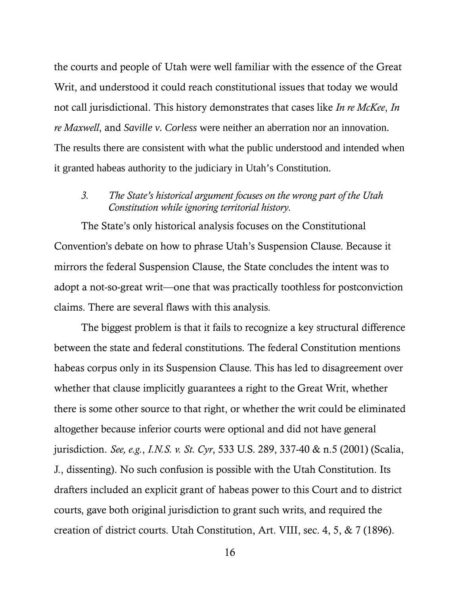the courts and people of Utah were well familiar with the essence of the Great Writ, and understood it could reach constitutional issues that today we would not call jurisdictional. This history demonstrates that cases like *In re McKee*, *In re Maxwell*, and *Saville v. Corless* were neither an aberration nor an innovation. The results there are consistent with what the public understood and intended when it granted habeas authority to the judiciary in Utah's Constitution.

#### *3. The State's historical argument focuses on the wrong part of the Utah Constitution while ignoring territorial history.*

The State's only historical analysis focuses on the Constitutional Convention's debate on how to phrase Utah's Suspension Clause. Because it mirrors the federal Suspension Clause, the State concludes the intent was to adopt a not-so-great writ—one that was practically toothless for postconviction claims. There are several flaws with this analysis.

<span id="page-23-1"></span><span id="page-23-0"></span>The biggest problem is that it fails to recognize a key structural difference between the state and federal constitutions. The federal Constitution mentions habeas corpus only in its Suspension Clause. This has led to disagreement over whether that clause implicitly guarantees a right to the Great Writ, whether there is some other source to that right, or whether the writ could be eliminated altogether because inferior courts were optional and did not have general jurisdiction. *See, e.g.*, *I.N.S. v. St. Cyr*, 533 U.S. 289, 337-40 & n.5 (2001) (Scalia, J., dissenting). No such confusion is possible with the Utah Constitution. Its drafters included an explicit grant of habeas power to this Court and to district courts, gave both original jurisdiction to grant such writs, and required the creation of district courts. Utah Constitution, Art. VIII, sec. 4, 5, & 7 (1896).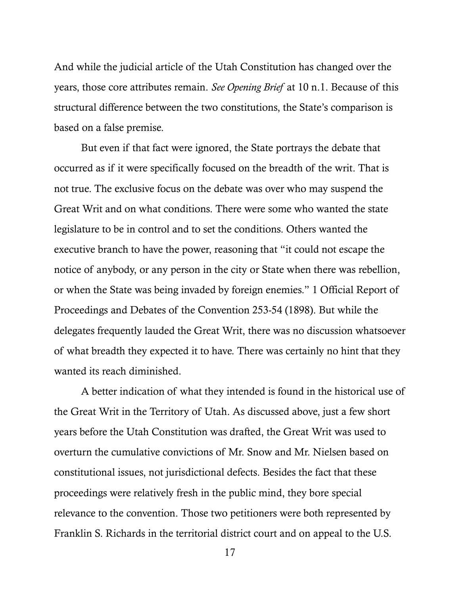And while the judicial article of the Utah Constitution has changed over the years, those core attributes remain. *See Opening Brief* at 10 n.1. Because of this structural difference between the two constitutions, the State's comparison is based on a false premise.

But even if that fact were ignored, the State portrays the debate that occurred as if it were specifically focused on the breadth of the writ. That is not true. The exclusive focus on the debate was over who may suspend the Great Writ and on what conditions. There were some who wanted the state legislature to be in control and to set the conditions. Others wanted the executive branch to have the power, reasoning that "it could not escape the notice of anybody, or any person in the city or State when there was rebellion, or when the State was being invaded by foreign enemies." 1 Official Report of Proceedings and Debates of the Convention 253-54 (1898). But while the delegates frequently lauded the Great Writ, there was no discussion whatsoever of what breadth they expected it to have. There was certainly no hint that they wanted its reach diminished.

A better indication of what they intended is found in the historical use of the Great Writ in the Territory of Utah. As discussed above, just a few short years before the Utah Constitution was drafted, the Great Writ was used to overturn the cumulative convictions of Mr. Snow and Mr. Nielsen based on constitutional issues, not jurisdictional defects. Besides the fact that these proceedings were relatively fresh in the public mind, they bore special relevance to the convention. Those two petitioners were both represented by Franklin S. Richards in the territorial district court and on appeal to the U.S.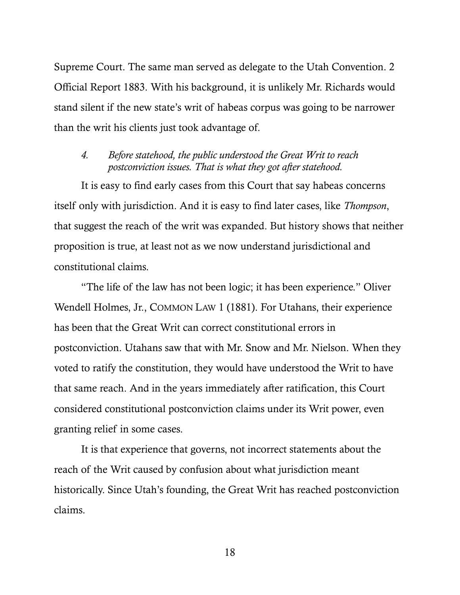Supreme Court. The same man served as delegate to the Utah Convention. 2 Official Report 1883. With his background, it is unlikely Mr. Richards would stand silent if the new state's writ of habeas corpus was going to be narrower than the writ his clients just took advantage of.

#### *4. Before statehood, the public understood the Great Writ to reach postconviction issues. That is what they got after statehood.*

It is easy to find early cases from this Court that say habeas concerns itself only with jurisdiction. And it is easy to find later cases, like *Thompson*, that suggest the reach of the writ was expanded. But history shows that neither proposition is true, at least not as we now understand jurisdictional and constitutional claims.

"The life of the law has not been logic; it has been experience." Oliver Wendell Holmes, Jr., COMMON LAW 1 (1881). For Utahans, their experience has been that the Great Writ can correct constitutional errors in postconviction. Utahans saw that with Mr. Snow and Mr. Nielson. When they voted to ratify the constitution, they would have understood the Writ to have that same reach. And in the years immediately after ratification, this Court considered constitutional postconviction claims under its Writ power, even granting relief in some cases.

It is that experience that governs, not incorrect statements about the reach of the Writ caused by confusion about what jurisdiction meant historically. Since Utah's founding, the Great Writ has reached postconviction claims.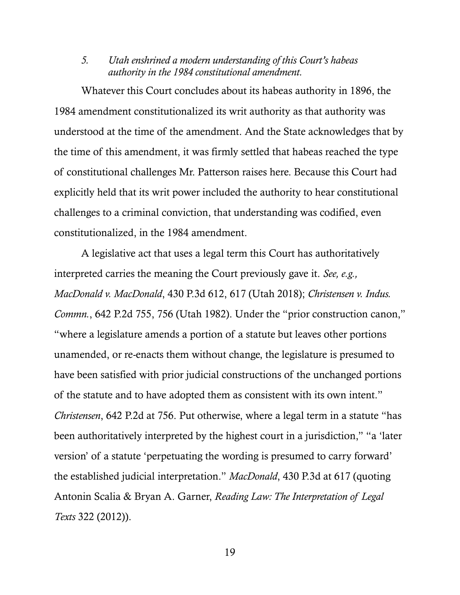#### *5. Utah enshrined a modern understanding of this Court's habeas authority in the 1984 constitutional amendment.*

Whatever this Court concludes about its habeas authority in 1896, the 1984 amendment constitutionalized its writ authority as that authority was understood at the time of the amendment. And the State acknowledges that by the time of this amendment, it was firmly settled that habeas reached the type of constitutional challenges Mr. Patterson raises here. Because this Court had explicitly held that its writ power included the authority to hear constitutional challenges to a criminal conviction, that understanding was codified, even constitutionalized, in the 1984 amendment.

<span id="page-26-0"></span>A legislative act that uses a legal term this Court has authoritatively interpreted carries the meaning the Court previously gave it. *See, e.g., MacDonald v. MacDonald*, 430 P.3d 612, 617 (Utah 2018); *Christensen v. Indus. Commn.*, 642 P.2d 755, 756 (Utah 1982). Under the "prior construction canon," "where a legislature amends a portion of a statute but leaves other portions unamended, or re-enacts them without change, the legislature is presumed to have been satisfied with prior judicial constructions of the unchanged portions of the statute and to have adopted them as consistent with its own intent." *Christensen*, 642 P.2d at 756. Put otherwise, where a legal term in a statute "has been authoritatively interpreted by the highest court in a jurisdiction," "a 'later version' of a statute 'perpetuating the wording is presumed to carry forward' the established judicial interpretation." *MacDonald*, 430 P.3d at 617 (quoting Antonin Scalia & Bryan A. Garner, *Reading Law: The Interpretation of Legal Texts* 322 (2012)).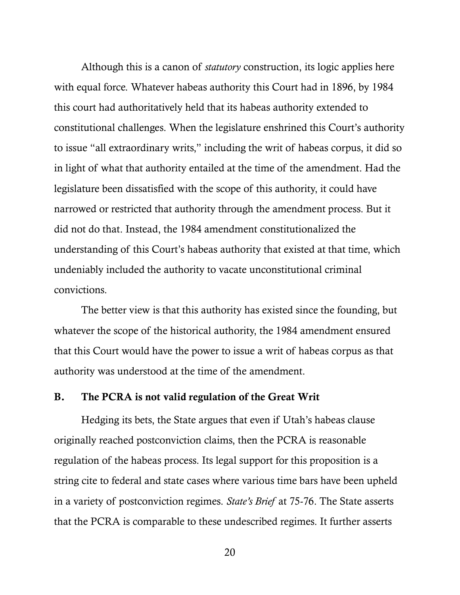Although this is a canon of *statutory* construction, its logic applies here with equal force. Whatever habeas authority this Court had in 1896, by 1984 this court had authoritatively held that its habeas authority extended to constitutional challenges. When the legislature enshrined this Court's authority to issue "all extraordinary writs," including the writ of habeas corpus, it did so in light of what that authority entailed at the time of the amendment. Had the legislature been dissatisfied with the scope of this authority, it could have narrowed or restricted that authority through the amendment process. But it did not do that. Instead, the 1984 amendment constitutionalized the understanding of this Court's habeas authority that existed at that time, which undeniably included the authority to vacate unconstitutional criminal convictions.

The better view is that this authority has existed since the founding, but whatever the scope of the historical authority, the 1984 amendment ensured that this Court would have the power to issue a writ of habeas corpus as that authority was understood at the time of the amendment.

#### B. The PCRA is not valid regulation of the Great Writ

Hedging its bets, the State argues that even if Utah's habeas clause originally reached postconviction claims, then the PCRA is reasonable regulation of the habeas process. Its legal support for this proposition is a string cite to federal and state cases where various time bars have been upheld in a variety of postconviction regimes. *State's Brief* at 75-76. The State asserts that the PCRA is comparable to these undescribed regimes. It further asserts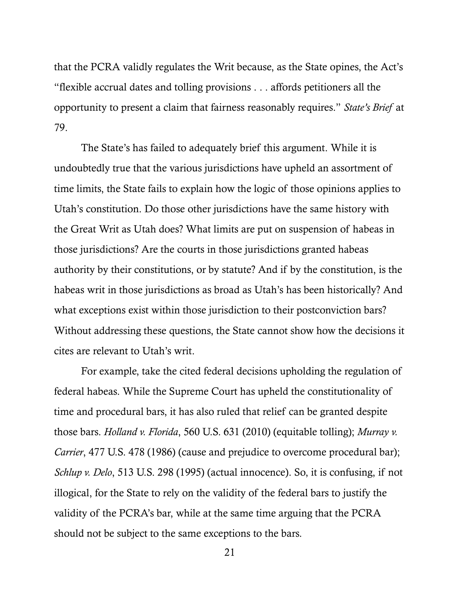that the PCRA validly regulates the Writ because, as the State opines, the Act's "flexible accrual dates and tolling provisions . . . affords petitioners all the opportunity to present a claim that fairness reasonably requires." *State's Brief* at 79.

The State's has failed to adequately brief this argument. While it is undoubtedly true that the various jurisdictions have upheld an assortment of time limits, the State fails to explain how the logic of those opinions applies to Utah's constitution. Do those other jurisdictions have the same history with the Great Writ as Utah does? What limits are put on suspension of habeas in those jurisdictions? Are the courts in those jurisdictions granted habeas authority by their constitutions, or by statute? And if by the constitution, is the habeas writ in those jurisdictions as broad as Utah's has been historically? And what exceptions exist within those jurisdiction to their postconviction bars? Without addressing these questions, the State cannot show how the decisions it cites are relevant to Utah's writ.

<span id="page-28-2"></span><span id="page-28-1"></span><span id="page-28-0"></span>For example, take the cited federal decisions upholding the regulation of federal habeas. While the Supreme Court has upheld the constitutionality of time and procedural bars, it has also ruled that relief can be granted despite those bars. *Holland v. Florida*, 560 U.S. 631 (2010) (equitable tolling); *Murray v. Carrier*, 477 U.S. 478 (1986) (cause and prejudice to overcome procedural bar); *Schlup v. Delo*, 513 U.S. 298 (1995) (actual innocence). So, it is confusing, if not illogical, for the State to rely on the validity of the federal bars to justify the validity of the PCRA's bar, while at the same time arguing that the PCRA should not be subject to the same exceptions to the bars.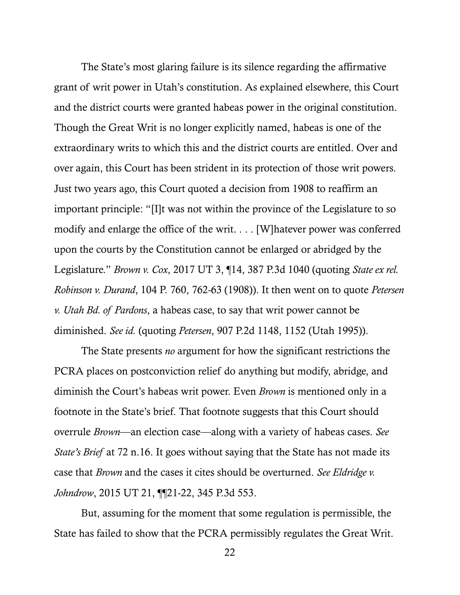The State's most glaring failure is its silence regarding the affirmative grant of writ power in Utah's constitution. As explained elsewhere, this Court and the district courts were granted habeas power in the original constitution. Though the Great Writ is no longer explicitly named, habeas is one of the extraordinary writs to which this and the district courts are entitled. Over and over again, this Court has been strident in its protection of those writ powers. Just two years ago, this Court quoted a decision from 1908 to reaffirm an important principle: "[I]t was not within the province of the Legislature to so modify and enlarge the office of the writ. . . . [W]hatever power was conferred upon the courts by the Constitution cannot be enlarged or abridged by the Legislature." *Brown v. Cox*, 2017 UT 3, ¶14, 387 P.3d 1040 (quoting *State ex rel. Robinson v. Durand*, 104 P. 760, 762-63 (1908)). It then went on to quote *Petersen v. Utah Bd. of Pardons*, a habeas case, to say that writ power cannot be diminished. *See id.* (quoting *Petersen*, 907 P.2d 1148, 1152 (Utah 1995)).

<span id="page-29-0"></span>The State presents *no* argument for how the significant restrictions the PCRA places on postconviction relief do anything but modify, abridge, and diminish the Court's habeas writ power. Even *Brown* is mentioned only in a footnote in the State's brief. That footnote suggests that this Court should overrule *Brown*—an election case—along with a variety of habeas cases. *See State's Brief* at 72 n.16. It goes without saying that the State has not made its case that *Brown* and the cases it cites should be overturned. *See Eldridge v. Johndrow*, 2015 UT 21, ¶¶21-22, 345 P.3d 553.

<span id="page-29-1"></span>But, assuming for the moment that some regulation is permissible, the State has failed to show that the PCRA permissibly regulates the Great Writ.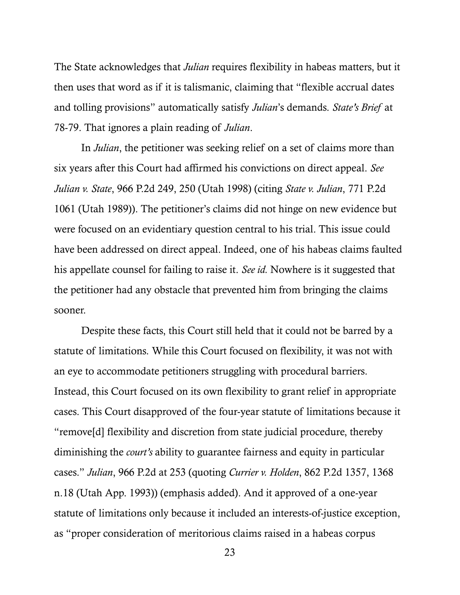The State acknowledges that *Julian* requires flexibility in habeas matters, but it then uses that word as if it is talismanic, claiming that "flexible accrual dates and tolling provisions" automatically satisfy *Julian*'s demands. *State's Brief* at 78-79. That ignores a plain reading of *Julian*.

<span id="page-30-0"></span>In *Julian*, the petitioner was seeking relief on a set of claims more than six years after this Court had affirmed his convictions on direct appeal. *See Julian v. State*, 966 P.2d 249, 250 (Utah 1998) (citing *State v. Julian*, 771 P.2d 1061 (Utah 1989)). The petitioner's claims did not hinge on new evidence but were focused on an evidentiary question central to his trial. This issue could have been addressed on direct appeal. Indeed, one of his habeas claims faulted his appellate counsel for failing to raise it. *See id.* Nowhere is it suggested that the petitioner had any obstacle that prevented him from bringing the claims sooner.

Despite these facts, this Court still held that it could not be barred by a statute of limitations. While this Court focused on flexibility, it was not with an eye to accommodate petitioners struggling with procedural barriers. Instead, this Court focused on its own flexibility to grant relief in appropriate cases. This Court disapproved of the four-year statute of limitations because it "remove[d] flexibility and discretion from state judicial procedure, thereby diminishing the *court's* ability to guarantee fairness and equity in particular cases." *Julian*, 966 P.2d at 253 (quoting *Currier v. Holden*, 862 P.2d 1357, 1368 n.18 (Utah App. 1993)) (emphasis added). And it approved of a one-year statute of limitations only because it included an interests-of-justice exception, as "proper consideration of meritorious claims raised in a habeas corpus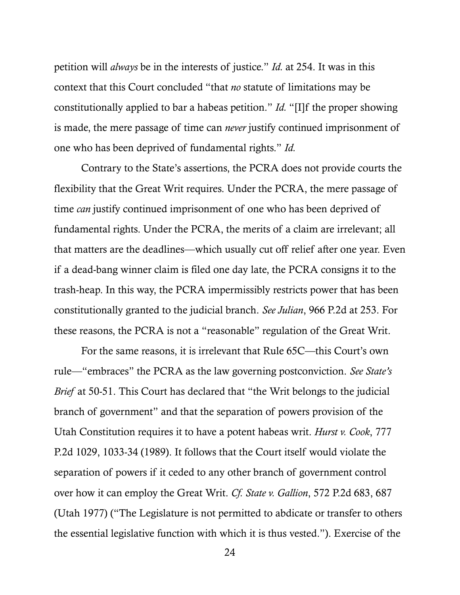<span id="page-31-0"></span>petition will *always* be in the interests of justice." *Id.* at 254. It was in this context that this Court concluded "that *no* statute of limitations may be constitutionally applied to bar a habeas petition." *Id.* "[I]f the proper showing is made, the mere passage of time can *never* justify continued imprisonment of one who has been deprived of fundamental rights." *Id.*

Contrary to the State's assertions, the PCRA does not provide courts the flexibility that the Great Writ requires. Under the PCRA, the mere passage of time *can* justify continued imprisonment of one who has been deprived of fundamental rights. Under the PCRA, the merits of a claim are irrelevant; all that matters are the deadlines—which usually cut off relief after one year. Even if a dead-bang winner claim is filed one day late, the PCRA consigns it to the trash-heap. In this way, the PCRA impermissibly restricts power that has been constitutionally granted to the judicial branch. *See Julian*, 966 P.2d at 253. For these reasons, the PCRA is not a "reasonable" regulation of the Great Writ.

<span id="page-31-1"></span>For the same reasons, it is irrelevant that Rule 65C—this Court's own rule—"embraces" the PCRA as the law governing postconviction. *See State's Brief* at 50-51. This Court has declared that "the Writ belongs to the judicial branch of government" and that the separation of powers provision of the Utah Constitution requires it to have a potent habeas writ. *Hurst v. Cook*, 777 P.2d 1029, 1033-34 (1989). It follows that the Court itself would violate the separation of powers if it ceded to any other branch of government control over how it can employ the Great Writ. *Cf. State v. Gallion*, 572 P.2d 683, 687 (Utah 1977) ("The Legislature is not permitted to abdicate or transfer to others the essential legislative function with which it is thus vested."). Exercise of the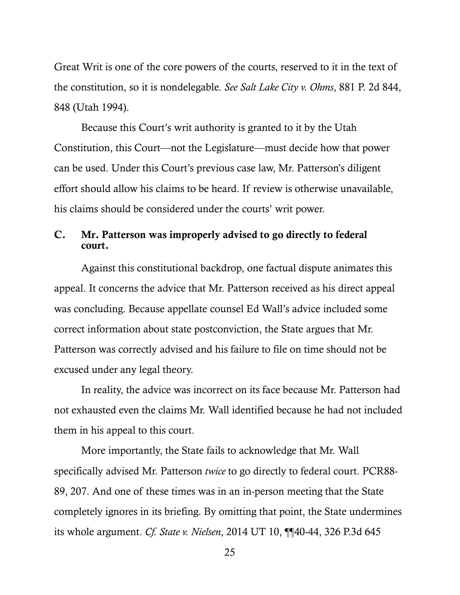<span id="page-32-0"></span>Great Writ is one of the core powers of the courts, reserved to it in the text of the constitution, so it is nondelegable. *See Salt Lake City v. Ohms*, 881 P. 2d 844, 848 (Utah 1994).

Because this Court's writ authority is granted to it by the Utah Constitution, this Court—not the Legislature—must decide how that power can be used. Under this Court's previous case law, Mr. Patterson's diligent effort should allow his claims to be heard. If review is otherwise unavailable, his claims should be considered under the courts' writ power.

#### C. Mr. Patterson was improperly advised to go directly to federal court.

Against this constitutional backdrop, one factual dispute animates this appeal. It concerns the advice that Mr. Patterson received as his direct appeal was concluding. Because appellate counsel Ed Wall's advice included some correct information about state postconviction, the State argues that Mr. Patterson was correctly advised and his failure to file on time should not be excused under any legal theory.

In reality, the advice was incorrect on its face because Mr. Patterson had not exhausted even the claims Mr. Wall identified because he had not included them in his appeal to this court.

<span id="page-32-1"></span>More importantly, the State fails to acknowledge that Mr. Wall specifically advised Mr. Patterson *twice* to go directly to federal court. PCR88- 89, 207. And one of these times was in an in-person meeting that the State completely ignores in its briefing. By omitting that point, the State undermines its whole argument. *Cf. State v. Nielsen*, 2014 UT 10, ¶¶40-44, 326 P.3d 645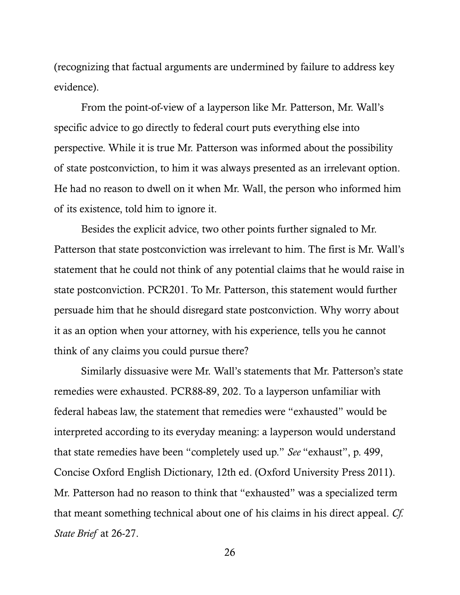(recognizing that factual arguments are undermined by failure to address key evidence).

From the point-of-view of a layperson like Mr. Patterson, Mr. Wall's specific advice to go directly to federal court puts everything else into perspective. While it is true Mr. Patterson was informed about the possibility of state postconviction, to him it was always presented as an irrelevant option. He had no reason to dwell on it when Mr. Wall, the person who informed him of its existence, told him to ignore it.

Besides the explicit advice, two other points further signaled to Mr. Patterson that state postconviction was irrelevant to him. The first is Mr. Wall's statement that he could not think of any potential claims that he would raise in state postconviction. PCR201. To Mr. Patterson, this statement would further persuade him that he should disregard state postconviction. Why worry about it as an option when your attorney, with his experience, tells you he cannot think of any claims you could pursue there?

Similarly dissuasive were Mr. Wall's statements that Mr. Patterson's state remedies were exhausted. PCR88-89, 202. To a layperson unfamiliar with federal habeas law, the statement that remedies were "exhausted" would be interpreted according to its everyday meaning: a layperson would understand that state remedies have been "completely used up." *See* "exhaust", p. 499, Concise Oxford English Dictionary, 12th ed. (Oxford University Press 2011). Mr. Patterson had no reason to think that "exhausted" was a specialized term that meant something technical about one of his claims in his direct appeal. *Cf. State Brief* at 26-27.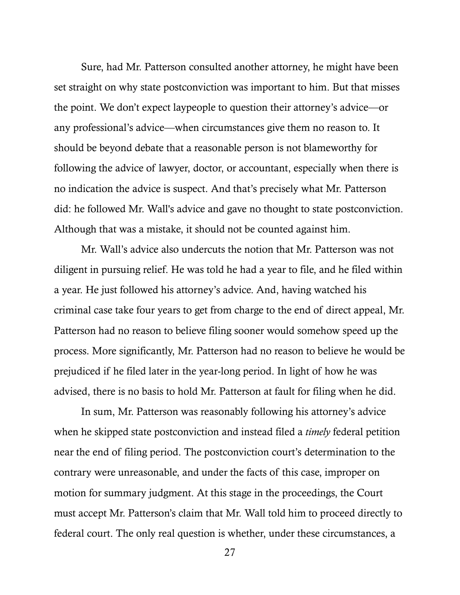Sure, had Mr. Patterson consulted another attorney, he might have been set straight on why state postconviction was important to him. But that misses the point. We don't expect laypeople to question their attorney's advice—or any professional's advice—when circumstances give them no reason to. It should be beyond debate that a reasonable person is not blameworthy for following the advice of lawyer, doctor, or accountant, especially when there is no indication the advice is suspect. And that's precisely what Mr. Patterson did: he followed Mr. Wall's advice and gave no thought to state postconviction. Although that was a mistake, it should not be counted against him.

Mr. Wall's advice also undercuts the notion that Mr. Patterson was not diligent in pursuing relief. He was told he had a year to file, and he filed within a year. He just followed his attorney's advice. And, having watched his criminal case take four years to get from charge to the end of direct appeal, Mr. Patterson had no reason to believe filing sooner would somehow speed up the process. More significantly, Mr. Patterson had no reason to believe he would be prejudiced if he filed later in the year-long period. In light of how he was advised, there is no basis to hold Mr. Patterson at fault for filing when he did.

In sum, Mr. Patterson was reasonably following his attorney's advice when he skipped state postconviction and instead filed a *timely* federal petition near the end of filing period. The postconviction court's determination to the contrary were unreasonable, and under the facts of this case, improper on motion for summary judgment. At this stage in the proceedings, the Court must accept Mr. Patterson's claim that Mr. Wall told him to proceed directly to federal court. The only real question is whether, under these circumstances, a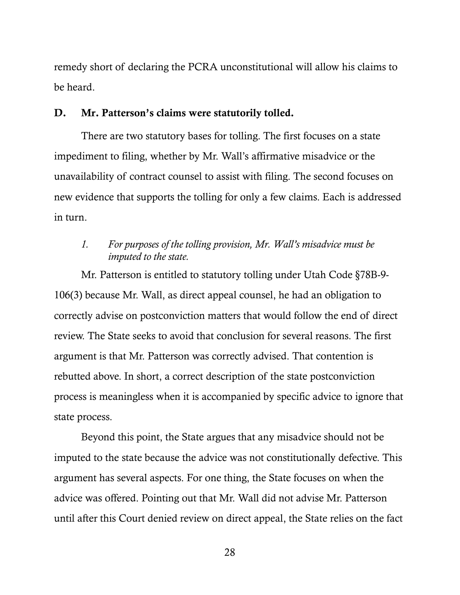remedy short of declaring the PCRA unconstitutional will allow his claims to be heard.

#### D. Mr. Patterson's claims were statutorily tolled.

There are two statutory bases for tolling. The first focuses on a state impediment to filing, whether by Mr. Wall's affirmative misadvice or the unavailability of contract counsel to assist with filing. The second focuses on new evidence that supports the tolling for only a few claims. Each is addressed in turn.

### <span id="page-35-0"></span>*1. For purposes of the tolling provision, Mr. Wall's misadvice must be imputed to the state.*

Mr. Patterson is entitled to statutory tolling under Utah Code §78B-9- 106(3) because Mr. Wall, as direct appeal counsel, he had an obligation to correctly advise on postconviction matters that would follow the end of direct review. The State seeks to avoid that conclusion for several reasons. The first argument is that Mr. Patterson was correctly advised. That contention is rebutted above. In short, a correct description of the state postconviction process is meaningless when it is accompanied by specific advice to ignore that state process.

Beyond this point, the State argues that any misadvice should not be imputed to the state because the advice was not constitutionally defective. This argument has several aspects. For one thing, the State focuses on when the advice was offered. Pointing out that Mr. Wall did not advise Mr. Patterson until after this Court denied review on direct appeal, the State relies on the fact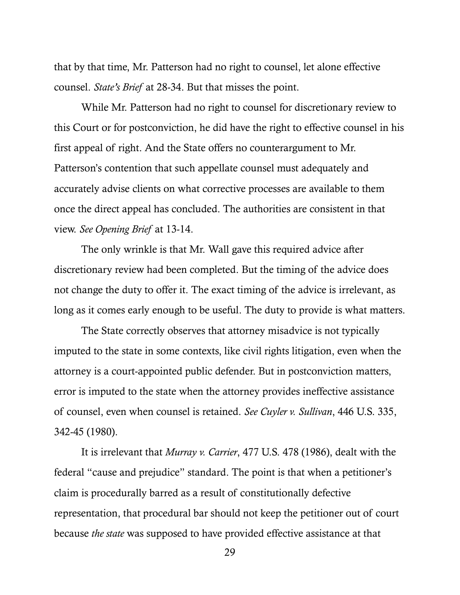that by that time, Mr. Patterson had no right to counsel, let alone effective counsel. *State's Brief* at 28-34. But that misses the point.

While Mr. Patterson had no right to counsel for discretionary review to this Court or for postconviction, he did have the right to effective counsel in his first appeal of right. And the State offers no counterargument to Mr. Patterson's contention that such appellate counsel must adequately and accurately advise clients on what corrective processes are available to them once the direct appeal has concluded. The authorities are consistent in that view. *See Opening Brief* at 13-14.

The only wrinkle is that Mr. Wall gave this required advice after discretionary review had been completed. But the timing of the advice does not change the duty to offer it. The exact timing of the advice is irrelevant, as long as it comes early enough to be useful. The duty to provide is what matters.

The State correctly observes that attorney misadvice is not typically imputed to the state in some contexts, like civil rights litigation, even when the attorney is a court-appointed public defender. But in postconviction matters, error is imputed to the state when the attorney provides ineffective assistance of counsel, even when counsel is retained. *See Cuyler v. Sullivan*, 446 U.S. 335, 342-45 (1980).

<span id="page-36-1"></span><span id="page-36-0"></span>It is irrelevant that *Murray v. Carrier*, 477 U.S. 478 (1986), dealt with the federal "cause and prejudice" standard. The point is that when a petitioner's claim is procedurally barred as a result of constitutionally defective representation, that procedural bar should not keep the petitioner out of court because *the state* was supposed to have provided effective assistance at that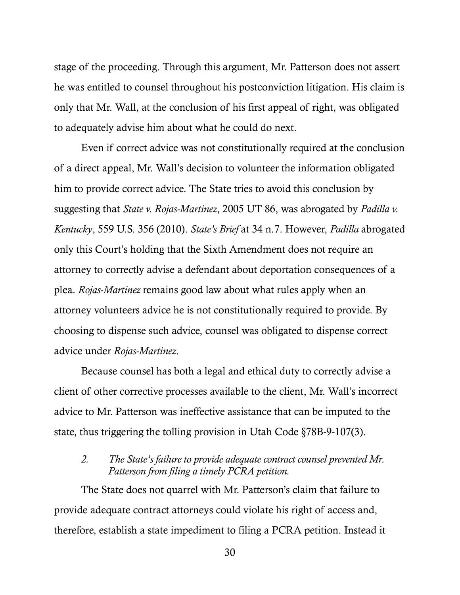stage of the proceeding. Through this argument, Mr. Patterson does not assert he was entitled to counsel throughout his postconviction litigation. His claim is only that Mr. Wall, at the conclusion of his first appeal of right, was obligated to adequately advise him about what he could do next.

<span id="page-37-1"></span><span id="page-37-0"></span>Even if correct advice was not constitutionally required at the conclusion of a direct appeal, Mr. Wall's decision to volunteer the information obligated him to provide correct advice. The State tries to avoid this conclusion by suggesting that *State v. Rojas-Martinez*, 2005 UT 86, was abrogated by *Padilla v. Kentucky*, 559 U.S. 356 (2010). *State's Brief* at 34 n.7. However, *Padilla* abrogated only this Court's holding that the Sixth Amendment does not require an attorney to correctly advise a defendant about deportation consequences of a plea. *Rojas-Martinez* remains good law about what rules apply when an attorney volunteers advice he is not constitutionally required to provide. By choosing to dispense such advice, counsel was obligated to dispense correct advice under *Rojas-Martinez*.

Because counsel has both a legal and ethical duty to correctly advise a client of other corrective processes available to the client, Mr. Wall's incorrect advice to Mr. Patterson was ineffective assistance that can be imputed to the state, thus triggering the tolling provision in Utah Code §78B-9-107(3).

#### <span id="page-37-2"></span>*2. The State's failure to provide adequate contract counsel prevented Mr. Patterson from filing a timely PCRA petition.*

The State does not quarrel with Mr. Patterson's claim that failure to provide adequate contract attorneys could violate his right of access and, therefore, establish a state impediment to filing a PCRA petition. Instead it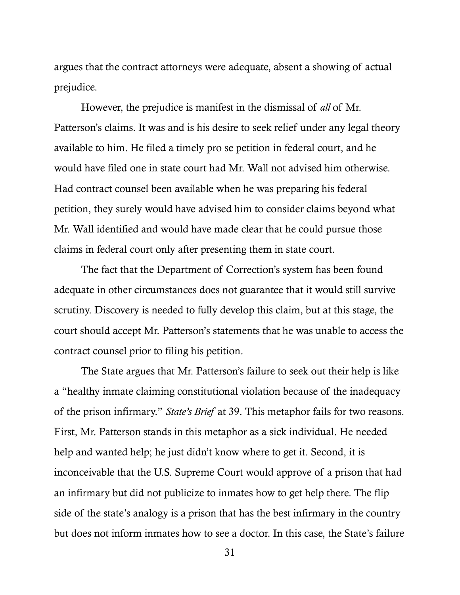argues that the contract attorneys were adequate, absent a showing of actual prejudice.

However, the prejudice is manifest in the dismissal of *all* of Mr. Patterson's claims. It was and is his desire to seek relief under any legal theory available to him. He filed a timely pro se petition in federal court, and he would have filed one in state court had Mr. Wall not advised him otherwise. Had contract counsel been available when he was preparing his federal petition, they surely would have advised him to consider claims beyond what Mr. Wall identified and would have made clear that he could pursue those claims in federal court only after presenting them in state court.

The fact that the Department of Correction's system has been found adequate in other circumstances does not guarantee that it would still survive scrutiny. Discovery is needed to fully develop this claim, but at this stage, the court should accept Mr. Patterson's statements that he was unable to access the contract counsel prior to filing his petition.

The State argues that Mr. Patterson's failure to seek out their help is like a "healthy inmate claiming constitutional violation because of the inadequacy of the prison infirmary." *State's Brief* at 39. This metaphor fails for two reasons. First, Mr. Patterson stands in this metaphor as a sick individual. He needed help and wanted help; he just didn't know where to get it. Second, it is inconceivable that the U.S. Supreme Court would approve of a prison that had an infirmary but did not publicize to inmates how to get help there. The flip side of the state's analogy is a prison that has the best infirmary in the country but does not inform inmates how to see a doctor. In this case, the State's failure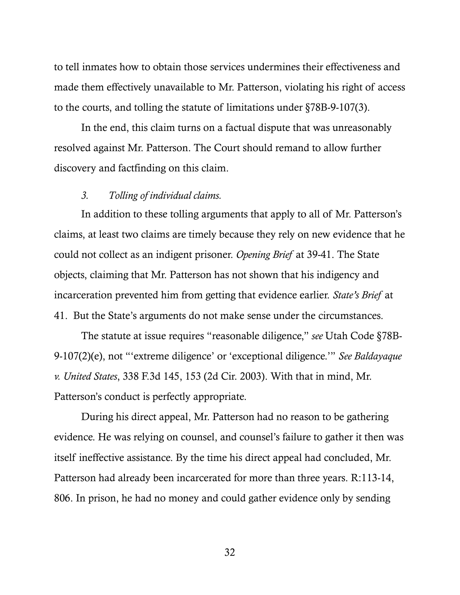to tell inmates how to obtain those services undermines their effectiveness and made them effectively unavailable to Mr. Patterson, violating his right of access to the courts, and tolling the statute of limitations under §78B-9-107(3).

In the end, this claim turns on a factual dispute that was unreasonably resolved against Mr. Patterson. The Court should remand to allow further discovery and factfinding on this claim.

#### *3. Tolling of individual claims.*

In addition to these tolling arguments that apply to all of Mr. Patterson's claims, at least two claims are timely because they rely on new evidence that he could not collect as an indigent prisoner. *Opening Brief* at 39-41. The State objects, claiming that Mr. Patterson has not shown that his indigency and incarceration prevented him from getting that evidence earlier. *State's Brief* at 41. But the State's arguments do not make sense under the circumstances.

<span id="page-39-1"></span><span id="page-39-0"></span>The statute at issue requires "reasonable diligence," *see* Utah Code §78B-9-107(2)(e), not "'extreme diligence' or 'exceptional diligence.'" *See Baldayaque v. United States*, 338 F.3d 145, 153 (2d Cir. 2003). With that in mind, Mr. Patterson's conduct is perfectly appropriate.

During his direct appeal, Mr. Patterson had no reason to be gathering evidence. He was relying on counsel, and counsel's failure to gather it then was itself ineffective assistance. By the time his direct appeal had concluded, Mr. Patterson had already been incarcerated for more than three years. R:113-14, 806. In prison, he had no money and could gather evidence only by sending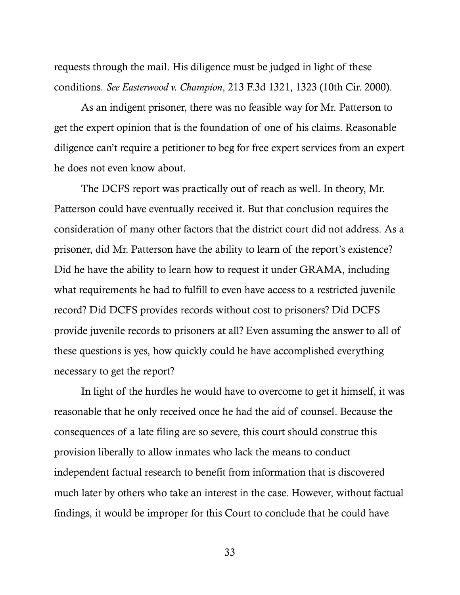<span id="page-40-0"></span>requests through the mail. His diligence must be judged in light of these conditions. *See Easterwood v. Champion*, 213 F.3d 1321, 1323 (10th Cir. 2000).

As an indigent prisoner, there was no feasible way for Mr. Patterson to get the expert opinion that is the foundation of one of his claims. Reasonable diligence can't require a petitioner to beg for free expert services from an expert he does not even know about.

The DCFS report was practically out of reach as well. In theory, Mr. Patterson could have eventually received it. But that conclusion requires the consideration of many other factors that the district court did not address. As a prisoner, did Mr. Patterson have the ability to learn of the report's existence? Did he have the ability to learn how to request it under GRAMA, including what requirements he had to fulfill to even have access to a restricted juvenile record? Did DCFS provides records without cost to prisoners? Did DCFS provide juvenile records to prisoners at all? Even assuming the answer to all of these questions is yes, how quickly could he have accomplished everything necessary to get the report?

In light of the hurdles he would have to overcome to get it himself, it was reasonable that he only received once he had the aid of counsel. Because the consequences of a late filing are so severe, this court should construe this provision liberally to allow inmates who lack the means to conduct independent factual research to benefit from information that is discovered much later by others who take an interest in the case. However, without factual findings, it would be improper for this Court to conclude that he could have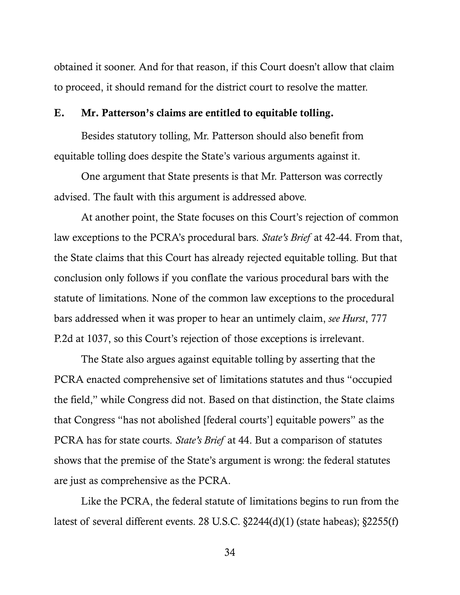obtained it sooner. And for that reason, if this Court doesn't allow that claim to proceed, it should remand for the district court to resolve the matter.

#### E. Mr. Patterson's claims are entitled to equitable tolling.

Besides statutory tolling, Mr. Patterson should also benefit from equitable tolling does despite the State's various arguments against it.

One argument that State presents is that Mr. Patterson was correctly advised. The fault with this argument is addressed above.

At another point, the State focuses on this Court's rejection of common law exceptions to the PCRA's procedural bars. *State's Brief* at 42-44. From that, the State claims that this Court has already rejected equitable tolling. But that conclusion only follows if you conflate the various procedural bars with the statute of limitations. None of the common law exceptions to the procedural bars addressed when it was proper to hear an untimely claim, *see Hurst*, 777 P.2d at 1037, so this Court's rejection of those exceptions is irrelevant.

The State also argues against equitable tolling by asserting that the PCRA enacted comprehensive set of limitations statutes and thus "occupied the field," while Congress did not. Based on that distinction, the State claims that Congress "has not abolished [federal courts'] equitable powers" as the PCRA has for state courts. *State's Brief* at 44. But a comparison of statutes shows that the premise of the State's argument is wrong: the federal statutes are just as comprehensive as the PCRA.

<span id="page-41-0"></span>Like the PCRA, the federal statute of limitations begins to run from the latest of several different events. 28 U.S.C. §2244(d)(1) (state habeas); §2255(f)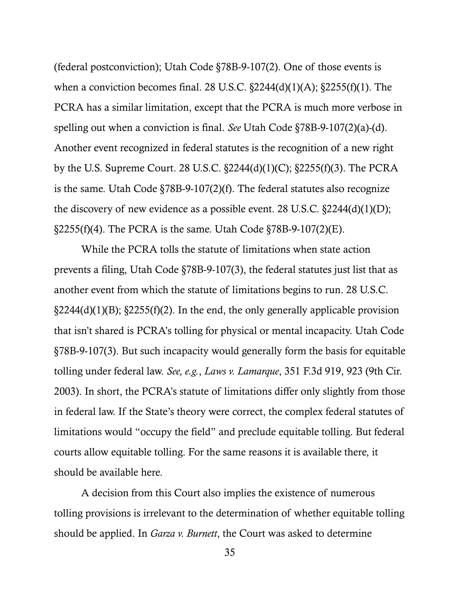<span id="page-42-2"></span><span id="page-42-1"></span>(federal postconviction); Utah Code §78B-9-107(2). One of those events is when a conviction becomes final. 28 U.S.C.  $\S2244(d)(1)(A)$ ;  $\S2255(f)(1)$ . The PCRA has a similar limitation, except that the PCRA is much more verbose in spelling out when a conviction is final. *See* Utah Code §78B-9-107(2)(a)-(d). Another event recognized in federal statutes is the recognition of a new right by the U.S. Supreme Court. 28 U.S.C. §2244(d)(1)(C); §2255(f)(3). The PCRA is the same. Utah Code §78B-9-107(2)(f). The federal statutes also recognize the discovery of new evidence as a possible event. 28 U.S.C. §2244(d)(1)(D);  $\S2255(f)(4)$ . The PCRA is the same. Utah Code  $\S78B-9-107(2)(E)$ .

<span id="page-42-0"></span>While the PCRA tolls the statute of limitations when state action prevents a filing, Utah Code §78B-9-107(3), the federal statutes just list that as another event from which the statute of limitations begins to run. 28 U.S.C.  $\S2244(d)(1)(B)$ ;  $\S2255(f)(2)$ . In the end, the only generally applicable provision that isn't shared is PCRA's tolling for physical or mental incapacity. Utah Code §78B-9-107(3). But such incapacity would generally form the basis for equitable tolling under federal law. *See, e.g.*, *Laws v. Lamarque*, 351 F.3d 919, 923 (9th Cir. 2003). In short, the PCRA's statute of limitations differ only slightly from those in federal law. If the State's theory were correct, the complex federal statutes of limitations would "occupy the field" and preclude equitable tolling. But federal courts allow equitable tolling. For the same reasons it is available there, it should be available here.

A decision from this Court also implies the existence of numerous tolling provisions is irrelevant to the determination of whether equitable tolling should be applied. In *Garza v. Burnett*, the Court was asked to determine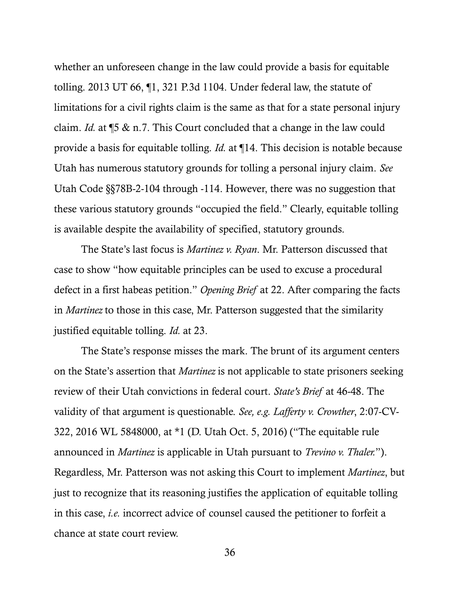<span id="page-43-1"></span>whether an unforeseen change in the law could provide a basis for equitable tolling. 2013 UT 66, ¶1, 321 P.3d 1104. Under federal law, the statute of limitations for a civil rights claim is the same as that for a state personal injury claim. *Id.* at ¶5 & n.7. This Court concluded that a change in the law could provide a basis for equitable tolling. *Id.* at ¶14. This decision is notable because Utah has numerous statutory grounds for tolling a personal injury claim. *See*  Utah Code §§78B-2-104 through -114. However, there was no suggestion that these various statutory grounds "occupied the field." Clearly, equitable tolling is available despite the availability of specified, statutory grounds.

<span id="page-43-2"></span>The State's last focus is *Martinez v. Ryan*. Mr. Patterson discussed that case to show "how equitable principles can be used to excuse a procedural defect in a first habeas petition." *Opening Brief* at 22. After comparing the facts in *Martinez* to those in this case, Mr. Patterson suggested that the similarity justified equitable tolling. *Id.* at 23.

<span id="page-43-0"></span>The State's response misses the mark. The brunt of its argument centers on the State's assertion that *Martinez* is not applicable to state prisoners seeking review of their Utah convictions in federal court. *State's Brief* at 46-48. The validity of that argument is questionable. *See, e.g. Lafferty v. Crowther*, 2:07-CV-322, 2016 WL 5848000, at \*1 (D. Utah Oct. 5, 2016) ("The equitable rule announced in *Martinez* is applicable in Utah pursuant to *Trevino v. Thaler.*"). Regardless, Mr. Patterson was not asking this Court to implement *Martinez*, but just to recognize that its reasoning justifies the application of equitable tolling in this case, *i.e.* incorrect advice of counsel caused the petitioner to forfeit a chance at state court review.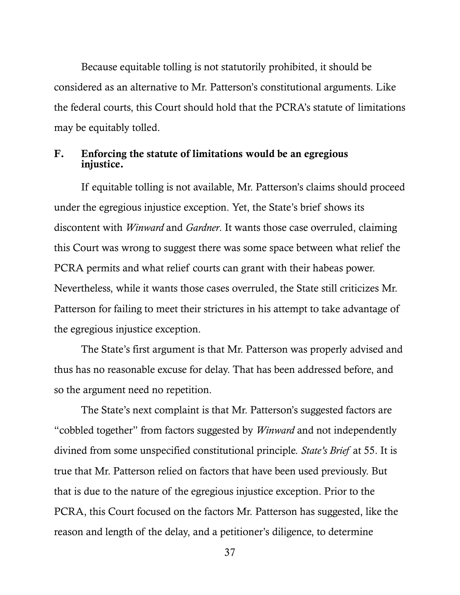Because equitable tolling is not statutorily prohibited, it should be considered as an alternative to Mr. Patterson's constitutional arguments. Like the federal courts, this Court should hold that the PCRA's statute of limitations may be equitably tolled.

#### F. Enforcing the statute of limitations would be an egregious injustice.

If equitable tolling is not available, Mr. Patterson's claims should proceed under the egregious injustice exception. Yet, the State's brief shows its discontent with *Winward* and *Gardner*. It wants those case overruled, claiming this Court was wrong to suggest there was some space between what relief the PCRA permits and what relief courts can grant with their habeas power. Nevertheless, while it wants those cases overruled, the State still criticizes Mr. Patterson for failing to meet their strictures in his attempt to take advantage of the egregious injustice exception.

The State's first argument is that Mr. Patterson was properly advised and thus has no reasonable excuse for delay. That has been addressed before, and so the argument need no repetition.

The State's next complaint is that Mr. Patterson's suggested factors are "cobbled together" from factors suggested by *Winward* and not independently divined from some unspecified constitutional principle. *State's Brief* at 55. It is true that Mr. Patterson relied on factors that have been used previously. But that is due to the nature of the egregious injustice exception. Prior to the PCRA, this Court focused on the factors Mr. Patterson has suggested, like the reason and length of the delay, and a petitioner's diligence, to determine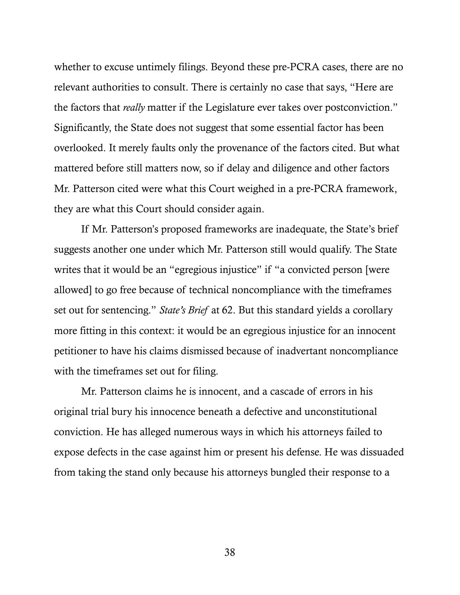whether to excuse untimely filings. Beyond these pre-PCRA cases, there are no relevant authorities to consult. There is certainly no case that says, "Here are the factors that *really* matter if the Legislature ever takes over postconviction." Significantly, the State does not suggest that some essential factor has been overlooked. It merely faults only the provenance of the factors cited. But what mattered before still matters now, so if delay and diligence and other factors Mr. Patterson cited were what this Court weighed in a pre-PCRA framework, they are what this Court should consider again.

If Mr. Patterson's proposed frameworks are inadequate, the State's brief suggests another one under which Mr. Patterson still would qualify. The State writes that it would be an "egregious injustice" if "a convicted person [were allowed] to go free because of technical noncompliance with the timeframes set out for sentencing." *State's Brief* at 62. But this standard yields a corollary more fitting in this context: it would be an egregious injustice for an innocent petitioner to have his claims dismissed because of inadvertant noncompliance with the timeframes set out for filing.

Mr. Patterson claims he is innocent, and a cascade of errors in his original trial bury his innocence beneath a defective and unconstitutional conviction. He has alleged numerous ways in which his attorneys failed to expose defects in the case against him or present his defense. He was dissuaded from taking the stand only because his attorneys bungled their response to a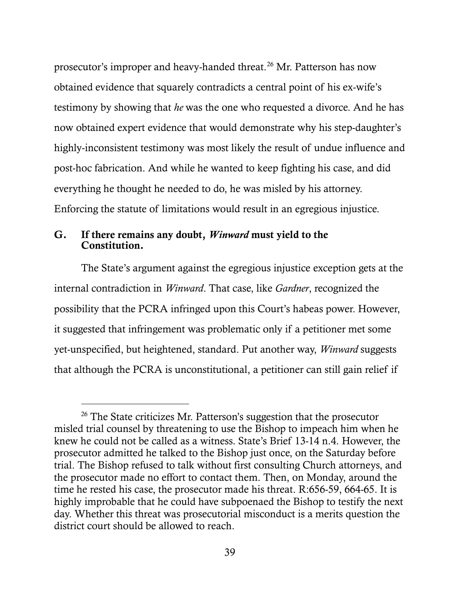prosecutor's improper and heavy-handed threat.<sup>[26](#page-46-0)</sup> Mr. Patterson has now obtained evidence that squarely contradicts a central point of his ex-wife's testimony by showing that *he* was the one who requested a divorce. And he has now obtained expert evidence that would demonstrate why his step-daughter's highly-inconsistent testimony was most likely the result of undue influence and post-hoc fabrication. And while he wanted to keep fighting his case, and did everything he thought he needed to do, he was misled by his attorney. Enforcing the statute of limitations would result in an egregious injustice.

#### G. If there remains any doubt, *Winward* must yield to the Constitution.

 $\overline{a}$ 

The State's argument against the egregious injustice exception gets at the internal contradiction in *Winward*. That case, like *Gardner*, recognized the possibility that the PCRA infringed upon this Court's habeas power. However, it suggested that infringement was problematic only if a petitioner met some yet-unspecified, but heightened, standard. Put another way, *Winward* suggests that although the PCRA is unconstitutional, a petitioner can still gain relief if

<span id="page-46-0"></span><sup>&</sup>lt;sup>26</sup> The State criticizes Mr. Patterson's suggestion that the prosecutor misled trial counsel by threatening to use the Bishop to impeach him when he knew he could not be called as a witness. State's Brief 13-14 n.4. However, the prosecutor admitted he talked to the Bishop just once, on the Saturday before trial. The Bishop refused to talk without first consulting Church attorneys, and the prosecutor made no effort to contact them. Then, on Monday, around the time he rested his case, the prosecutor made his threat. R:656-59, 664-65. It is highly improbable that he could have subpoenaed the Bishop to testify the next day. Whether this threat was prosecutorial misconduct is a merits question the district court should be allowed to reach.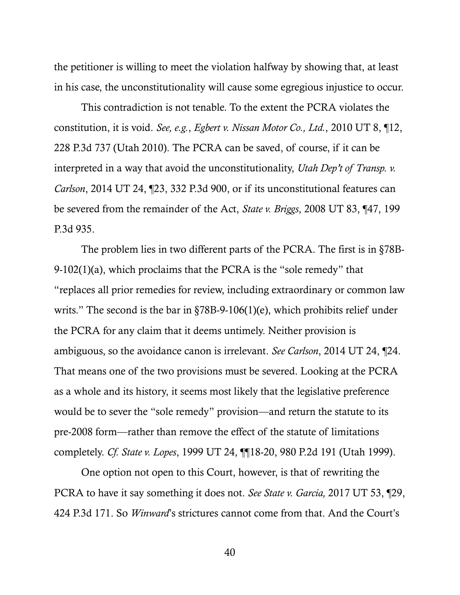the petitioner is willing to meet the violation halfway by showing that, at least in his case, the unconstitutionality will cause some egregious injustice to occur.

<span id="page-47-4"></span><span id="page-47-0"></span>This contradiction is not tenable. To the extent the PCRA violates the constitution, it is void. *See, e.g.*, *Egbert v. Nissan Motor Co., Ltd.*, 2010 UT 8, ¶12, 228 P.3d 737 (Utah 2010). The PCRA can be saved, of course, if it can be interpreted in a way that avoid the unconstitutionality, *Utah Dep't of Transp. v. Carlson*, 2014 UT 24, ¶23, 332 P.3d 900, or if its unconstitutional features can be severed from the remainder of the Act, *State v. Briggs*, 2008 UT 83, ¶47, 199 P.3d 935.

<span id="page-47-5"></span><span id="page-47-3"></span>The problem lies in two different parts of the PCRA. The first is in §78B-9-102(1)(a), which proclaims that the PCRA is the "sole remedy" that "replaces all prior remedies for review, including extraordinary or common law writs." The second is the bar in §78B-9-106(1)(e), which prohibits relief under the PCRA for any claim that it deems untimely. Neither provision is ambiguous, so the avoidance canon is irrelevant. *See Carlson*, 2014 UT 24, ¶24. That means one of the two provisions must be severed. Looking at the PCRA as a whole and its history, it seems most likely that the legislative preference would be to sever the "sole remedy" provision—and return the statute to its pre-2008 form—rather than remove the effect of the statute of limitations completely. *Cf. State v. Lopes*, 1999 UT 24, ¶¶18-20, 980 P.2d 191 (Utah 1999).

<span id="page-47-2"></span><span id="page-47-1"></span>One option not open to this Court, however, is that of rewriting the PCRA to have it say something it does not. *See State v. Garcia,* 2017 UT 53, ¶29, 424 P.3d 171. So *Winward*'s strictures cannot come from that. And the Court's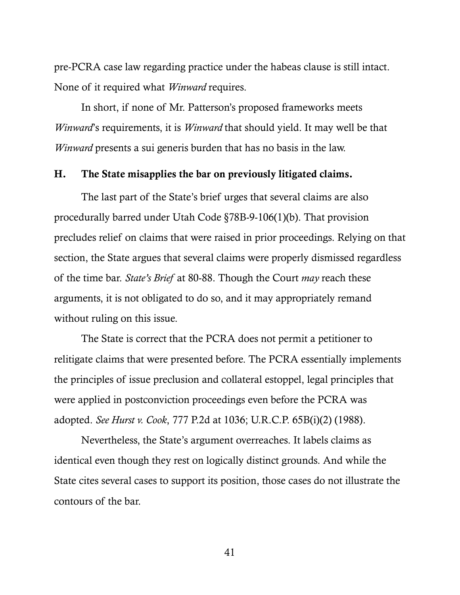pre-PCRA case law regarding practice under the habeas clause is still intact. None of it required what *Winward* requires.

In short, if none of Mr. Patterson's proposed frameworks meets *Winward*'s requirements, it is *Winward* that should yield. It may well be that *Winward* presents a sui generis burden that has no basis in the law.

#### H. The State misapplies the bar on previously litigated claims.

<span id="page-48-0"></span>The last part of the State's brief urges that several claims are also procedurally barred under Utah Code §78B-9-106(1)(b). That provision precludes relief on claims that were raised in prior proceedings. Relying on that section, the State argues that several claims were properly dismissed regardless of the time bar. *State's Brief* at 80-88. Though the Court *may* reach these arguments, it is not obligated to do so, and it may appropriately remand without ruling on this issue.

The State is correct that the PCRA does not permit a petitioner to relitigate claims that were presented before. The PCRA essentially implements the principles of issue preclusion and collateral estoppel, legal principles that were applied in postconviction proceedings even before the PCRA was adopted. *See Hurst v. Cook*, 777 P.2d at 1036; U.R.C.P. 65B(i)(2) (1988).

Nevertheless, the State's argument overreaches. It labels claims as identical even though they rest on logically distinct grounds. And while the State cites several cases to support its position, those cases do not illustrate the contours of the bar.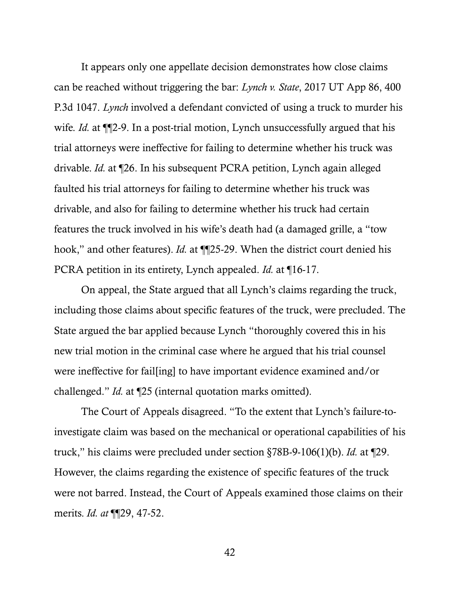<span id="page-49-0"></span>It appears only one appellate decision demonstrates how close claims can be reached without triggering the bar: *Lynch v. State*, 2017 UT App 86, 400 P.3d 1047. *Lynch* involved a defendant convicted of using a truck to murder his wife. *Id.* at  $\P$ 2-9. In a post-trial motion, Lynch unsuccessfully argued that his trial attorneys were ineffective for failing to determine whether his truck was drivable. *Id.* at ¶26. In his subsequent PCRA petition, Lynch again alleged faulted his trial attorneys for failing to determine whether his truck was drivable, and also for failing to determine whether his truck had certain features the truck involved in his wife's death had (a damaged grille, a "tow hook," and other features). *Id.* at ¶¶25-29. When the district court denied his PCRA petition in its entirety, Lynch appealed. *Id.* at ¶16-17.

On appeal, the State argued that all Lynch's claims regarding the truck, including those claims about specific features of the truck, were precluded. The State argued the bar applied because Lynch "thoroughly covered this in his new trial motion in the criminal case where he argued that his trial counsel were ineffective for fail[ing] to have important evidence examined and/or challenged." *Id.* at ¶25 (internal quotation marks omitted).

The Court of Appeals disagreed. "To the extent that Lynch's failure-toinvestigate claim was based on the mechanical or operational capabilities of his truck," his claims were precluded under section §78B-9-106(1)(b). *Id.* at ¶29. However, the claims regarding the existence of specific features of the truck were not barred. Instead, the Court of Appeals examined those claims on their merits. *Id. at* ¶¶29, 47-52.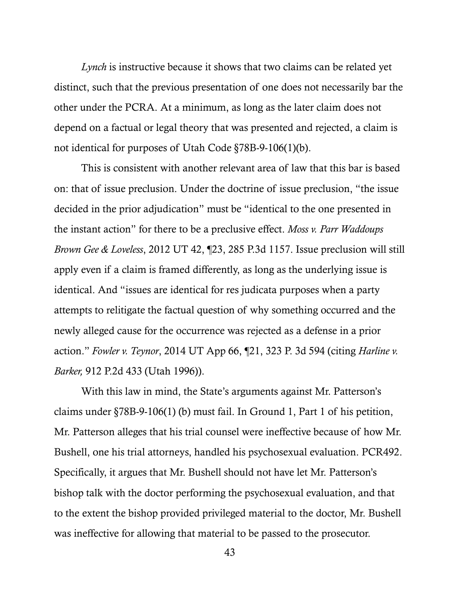*Lynch* is instructive because it shows that two claims can be related yet distinct, such that the previous presentation of one does not necessarily bar the other under the PCRA. At a minimum, as long as the later claim does not depend on a factual or legal theory that was presented and rejected, a claim is not identical for purposes of Utah Code §78B-9-106(1)(b).

<span id="page-50-2"></span><span id="page-50-1"></span>This is consistent with another relevant area of law that this bar is based on: that of issue preclusion. Under the doctrine of issue preclusion, "the issue decided in the prior adjudication" must be "identical to the one presented in the instant action" for there to be a preclusive effect. *Moss v. Parr Waddoups Brown Gee & Loveless*, 2012 UT 42, ¶23, 285 P.3d 1157. Issue preclusion will still apply even if a claim is framed differently, as long as the underlying issue is identical. And "issues are identical for res judicata purposes when a party attempts to relitigate the factual question of why something occurred and the newly alleged cause for the occurrence was rejected as a defense in a prior action." *Fowler v. Teynor*, 2014 UT App 66, ¶21, 323 P. 3d 594 (citing *Harline v. Barker,* 912 P.2d 433 (Utah 1996)).

<span id="page-50-0"></span>With this law in mind, the State's arguments against Mr. Patterson's claims under §78B-9-106(1) (b) must fail. In Ground 1, Part 1 of his petition, Mr. Patterson alleges that his trial counsel were ineffective because of how Mr. Bushell, one his trial attorneys, handled his psychosexual evaluation. PCR492. Specifically, it argues that Mr. Bushell should not have let Mr. Patterson's bishop talk with the doctor performing the psychosexual evaluation, and that to the extent the bishop provided privileged material to the doctor, Mr. Bushell was ineffective for allowing that material to be passed to the prosecutor.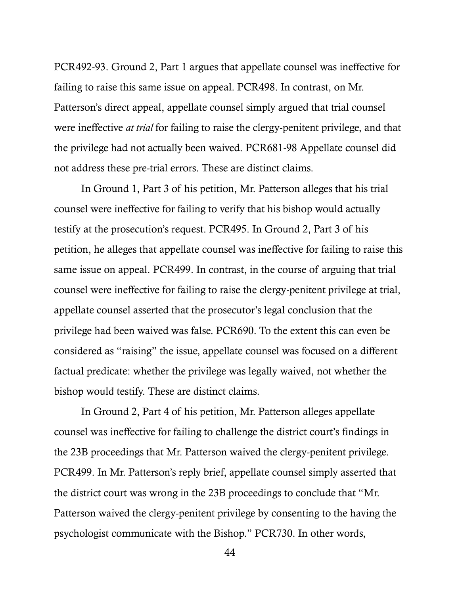PCR492-93. Ground 2, Part 1 argues that appellate counsel was ineffective for failing to raise this same issue on appeal. PCR498. In contrast, on Mr. Patterson's direct appeal, appellate counsel simply argued that trial counsel were ineffective *at trial* for failing to raise the clergy-penitent privilege, and that the privilege had not actually been waived. PCR681-98 Appellate counsel did not address these pre-trial errors. These are distinct claims.

In Ground 1, Part 3 of his petition, Mr. Patterson alleges that his trial counsel were ineffective for failing to verify that his bishop would actually testify at the prosecution's request. PCR495. In Ground 2, Part 3 of his petition, he alleges that appellate counsel was ineffective for failing to raise this same issue on appeal. PCR499. In contrast, in the course of arguing that trial counsel were ineffective for failing to raise the clergy-penitent privilege at trial, appellate counsel asserted that the prosecutor's legal conclusion that the privilege had been waived was false. PCR690. To the extent this can even be considered as "raising" the issue, appellate counsel was focused on a different factual predicate: whether the privilege was legally waived, not whether the bishop would testify. These are distinct claims.

In Ground 2, Part 4 of his petition, Mr. Patterson alleges appellate counsel was ineffective for failing to challenge the district court's findings in the 23B proceedings that Mr. Patterson waived the clergy-penitent privilege. PCR499. In Mr. Patterson's reply brief, appellate counsel simply asserted that the district court was wrong in the 23B proceedings to conclude that "Mr. Patterson waived the clergy-penitent privilege by consenting to the having the psychologist communicate with the Bishop." PCR730. In other words,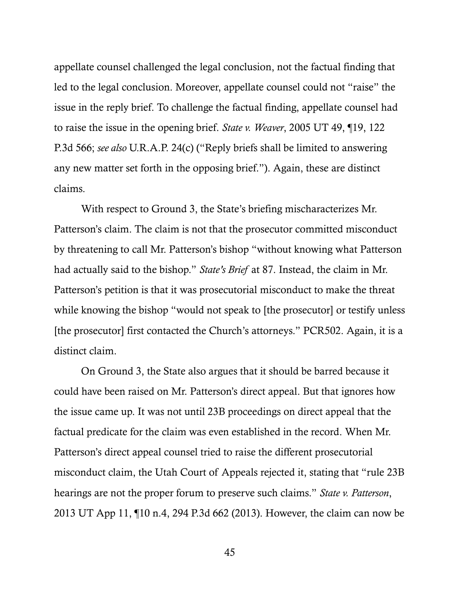<span id="page-52-1"></span>appellate counsel challenged the legal conclusion, not the factual finding that led to the legal conclusion. Moreover, appellate counsel could not "raise" the issue in the reply brief. To challenge the factual finding, appellate counsel had to raise the issue in the opening brief. *State v. Weaver*, 2005 UT 49, ¶19, 122 P.3d 566; *see also* U.R.A.P. 24(c) ("Reply briefs shall be limited to answering any new matter set forth in the opposing brief."). Again, these are distinct claims.

With respect to Ground 3, the State's briefing mischaracterizes Mr. Patterson's claim. The claim is not that the prosecutor committed misconduct by threatening to call Mr. Patterson's bishop "without knowing what Patterson had actually said to the bishop." *State's Brief* at 87. Instead, the claim in Mr. Patterson's petition is that it was prosecutorial misconduct to make the threat while knowing the bishop "would not speak to [the prosecutor] or testify unless [the prosecutor] first contacted the Church's attorneys." PCR502. Again, it is a distinct claim.

<span id="page-52-0"></span>On Ground 3, the State also argues that it should be barred because it could have been raised on Mr. Patterson's direct appeal. But that ignores how the issue came up. It was not until 23B proceedings on direct appeal that the factual predicate for the claim was even established in the record. When Mr. Patterson's direct appeal counsel tried to raise the different prosecutorial misconduct claim, the Utah Court of Appeals rejected it, stating that "rule 23B hearings are not the proper forum to preserve such claims." *State v. Patterson*, 2013 UT App 11, ¶10 n.4, 294 P.3d 662 (2013). However, the claim can now be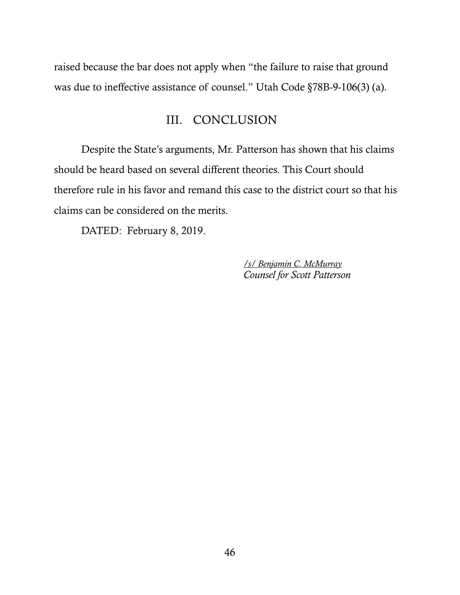raised because the bar does not apply when "the failure to raise that ground was due to ineffective assistance of counsel." Utah Code §78B-9-106(3) (a).

### <span id="page-53-0"></span>III. CONCLUSION

Despite the State's arguments, Mr. Patterson has shown that his claims should be heard based on several different theories. This Court should therefore rule in his favor and remand this case to the district court so that his claims can be considered on the merits.

DATED: February 8, 2019.

*/s/ Benjamin C. McMurray Counsel for Scott Patterson*